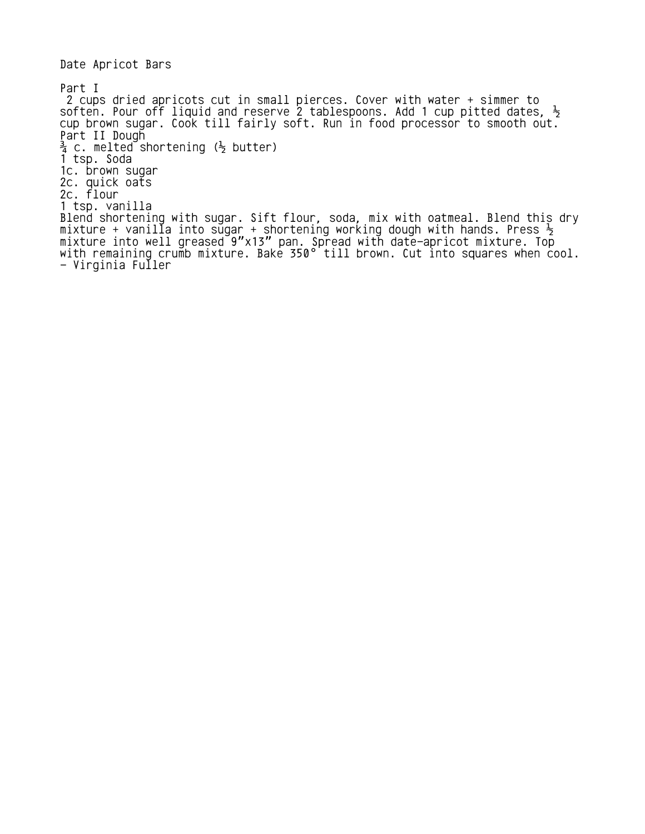Date Apricot Bars

Part I 2 cups dried apricots cut in small pierces. Cover with water + simmer to soften. Pour off liquid and reserve 2 tablespoons. Add 1 cup pitted dates,  $\frac{1}{2}$ cup brown sugar. Cook till fairly soft. Run in food processor to smooth out. Part II Dough  $\frac{3}{4}$  c. melted shortening ( $\frac{1}{2}$  butter) 1 tsp. Soda 1c. brown sugar 2c. quick oats 2c. flour 1 tsp. vanilla Blend shortening with sugar. Sift flour, soda, mix with oatmeal. Blend this dry mixture + vanilla into sugar + shortening working dough with hands. Press  $\frac{1}{2}$ <code>mixture</code> into well greased <code>9"x13"</code> pan. Spread with date-apricot mixture. Top with remaining crumb mixture. Bake 350° till brown. Cut into squares when  $\mathsf{cool.}$ - Virginia Fuller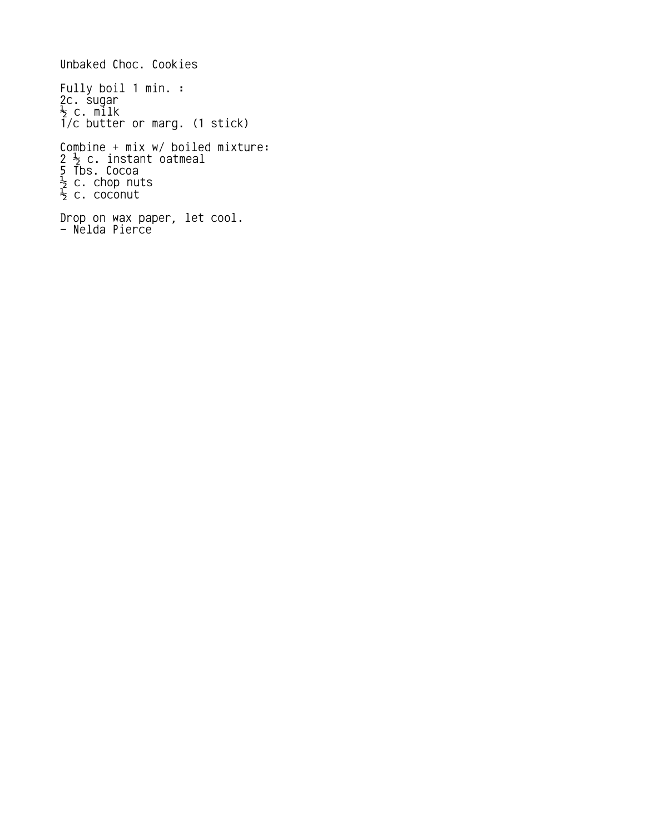```
Unbaked Choc. Cookies
Fully boil 1 min. :
2c. sugar
\frac{1}{2} c. milk
1/c butter or marg. (1 stick)
Combine + mix w/ boiled mixture:
2\frac{1}{2} c. instant oatmeal
5 Tbs. Cocoa
\frac{1}{2} c. chop nuts
\frac{1}{2} c. coconut
Drop on wax paper, let cool.
- Nelda Pierce
```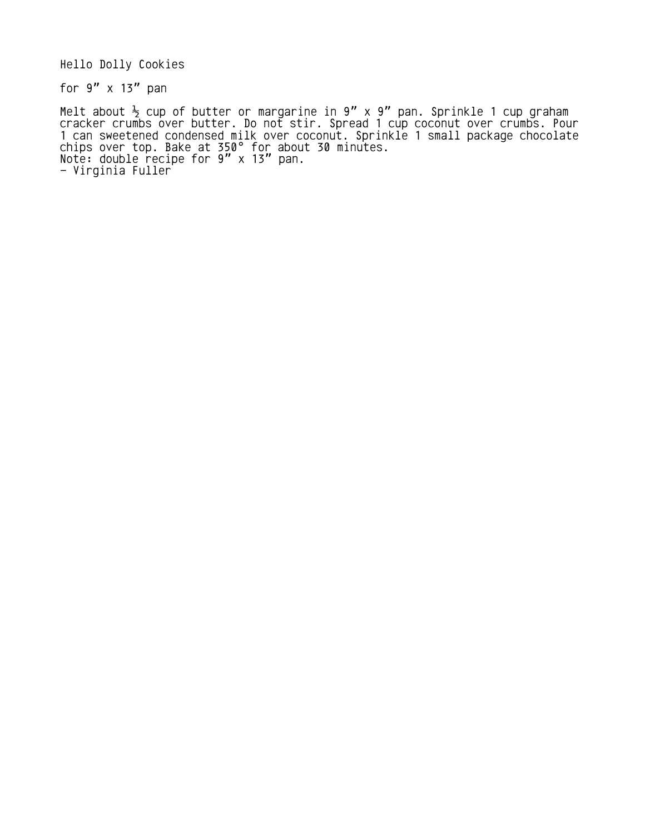Hello Dolly Cookies

for  $9''$  x 13" pan

Melt about  $\frac{1}{2}$  cup of butter or margarine in 9" x 9" pan. Sprinkle 1 cup graham cracker crumbs over butter. Do not stir. Spread 1 cup coconut over crumbs. Pour 1 can sweetened condensed milk over coconut. Sprinkle 1 small package chocolate chips over top. Bake at 350 $^{\circ}$  for about 30 minutes. Note: double recipe for  $9'' \times 13''$  pan. - Virginia Fuller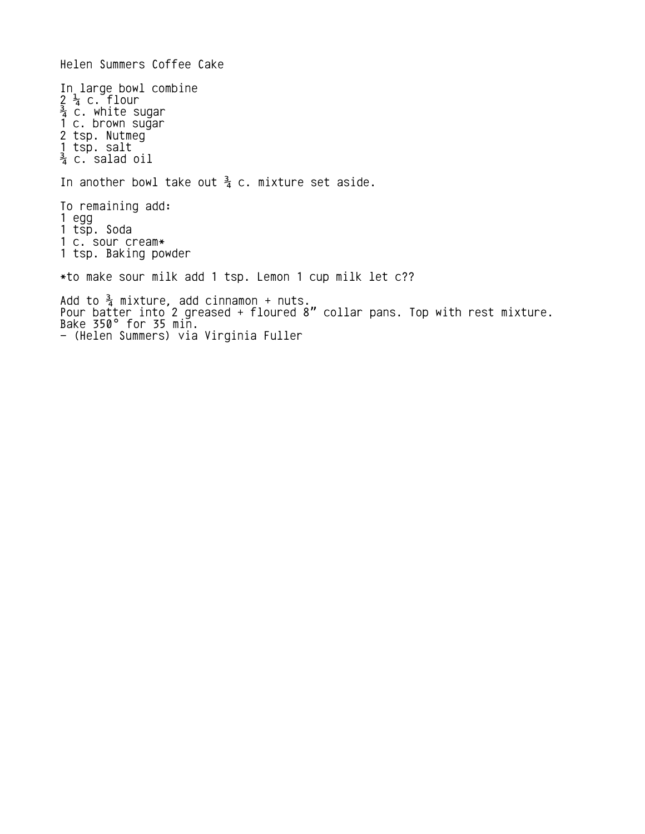Helen Summers Coffee Cake In large bowl combine  $2\frac{1}{4}$  c. flour  $\frac{3}{4}$  c. white sugar 1 c. brown sugar 2 tsp. Nutmeg 1 tsp. salt  $\frac{3}{4}$  c. salad oil In another bowl take out  $\frac{3}{4}$  c. mixture set aside. To remaining add: 1 egg 1 tsp. Soda 1 c. sour cream\* 1 tsp. Baking powder \*to make sour milk add 1 tsp. Lemon 1 cup milk let c?? Add to  $\frac{3}{4}$  mixture, add cinnamon + nuts. Pour batter into 2 greased + floured 8" collar pans. Top with rest mixture. Bake 350° for 35 min. - (Helen Summers) via Virginia Fuller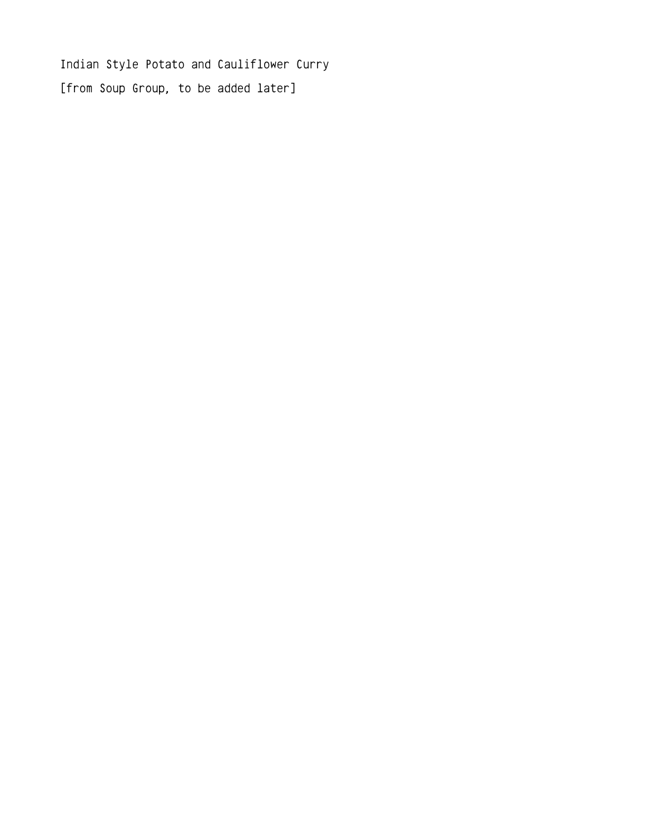Indian Style Potato and Cauliflower Curry [from Soup Group, to be added later]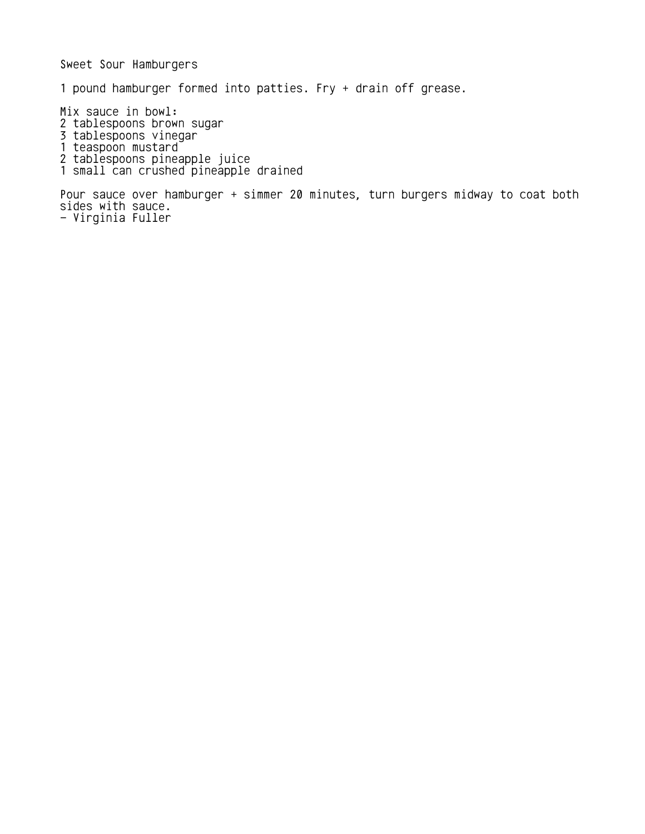Sweet Sour Hamburgers 1 pound hamburger formed into patties. Fry + drain off grease. Mix sauce in bowl: 2 tablespoons brown sugar 3 tablespoons vinegar 1 teaspoon mustard 2 tablespoons pineapple juice 1 small can crushed pineapple drained Pour sauce over hamburger + simmer 20 minutes, turn burgers midway to coat both sides with sauce. - Virginia Fuller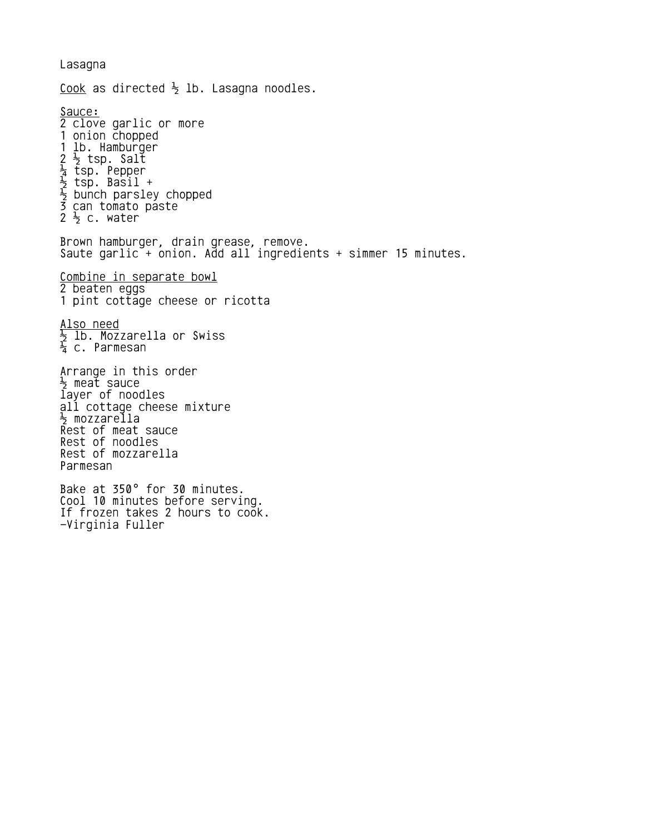Lasagna Cook as directed  $\frac{1}{2}$  lb. Lasagna noodles. Sauce: 2 clove garlic or more 1 onion chopped 1 lb. Hamburger 2 tsp. Salt ½  $\frac{1}{4}$  tsp. Pepper ½ tsp. Basil +  $\frac{1}{2}$  bunch parsley chopped 3 can tomato paste 2  $\frac{1}{2}$  c. water Brown hamburger, drain grease, remove. Saute garlic<sup>-</sup>+ onion. Add all ingredients + simmer 15 minutes. Combine in separate bowl 2 beaten eggs 1 pint cottage cheese or ricotta <u>Also need</u>  $\frac{1}{2}$  lb. Mozzarella or Swiss  $\frac{1}{4}$  c. Parmesan Arrange in this order <sup>1</sup>, meat sauce layer of noodles all cottage cheese mixture ½ mozzarella Rest of meat sauce Rest of noodles Rest of mozzarella Parmesan Bake at 350° for 30 minutes. Cool 10 minutes before serving. If frozen takes 2 hours to cook. -Virginia Fuller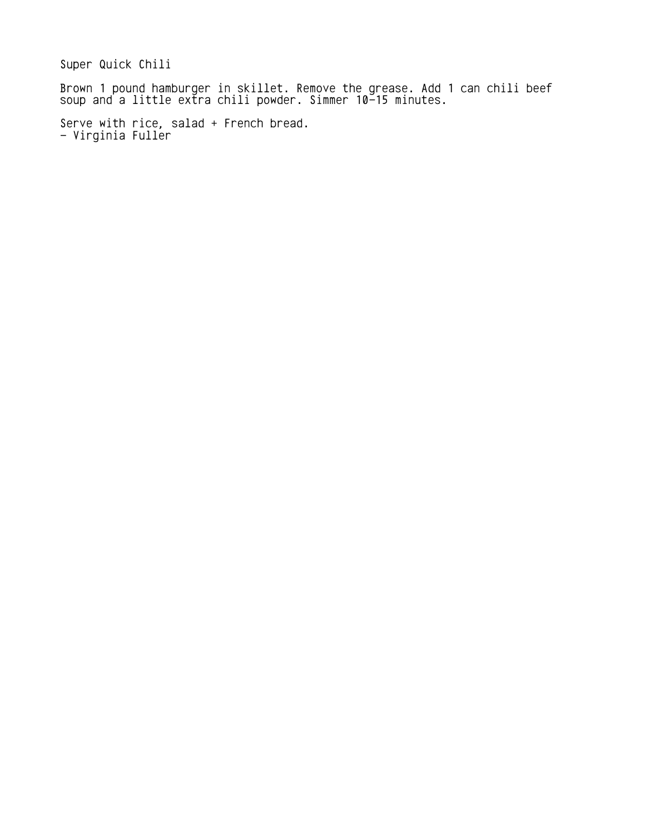Super Quick Chili

Brown 1 pound hamburger in skillet. Remove the grease. Add 1 can chili beef soup and a little extra chili powder. Simmer 10-15 minutes.

Serve with rice, salad + French bread. - Virginia Fuller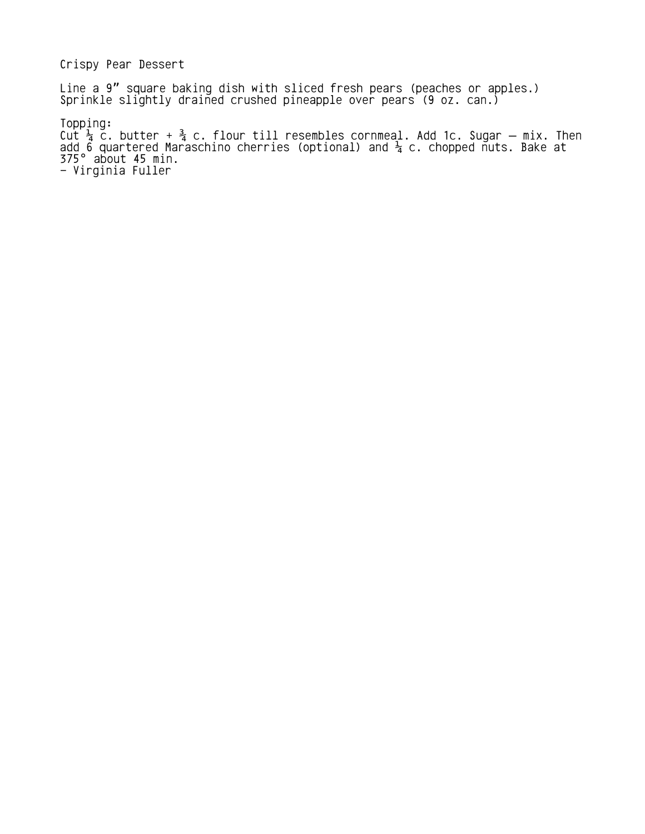Crispy Pear Dessert

Line a 9" square baking dish with sliced fresh pears (peaches or apples.) Sprinkle slightly drained crushed pineapple over pears (9 oz. can.)

Topping: Cut  $\frac{1}{4}$  c. butter +  $\frac{3}{4}$  c. flour till resembles cornmeal. Add 1c. Sugar — mix. Then add 6 quartered Maraschino cherries (optional) and  $\frac{1}{4}$  c. chopped nuts. Bake at  $375^\circ$  about 45 min. - Virginia Fuller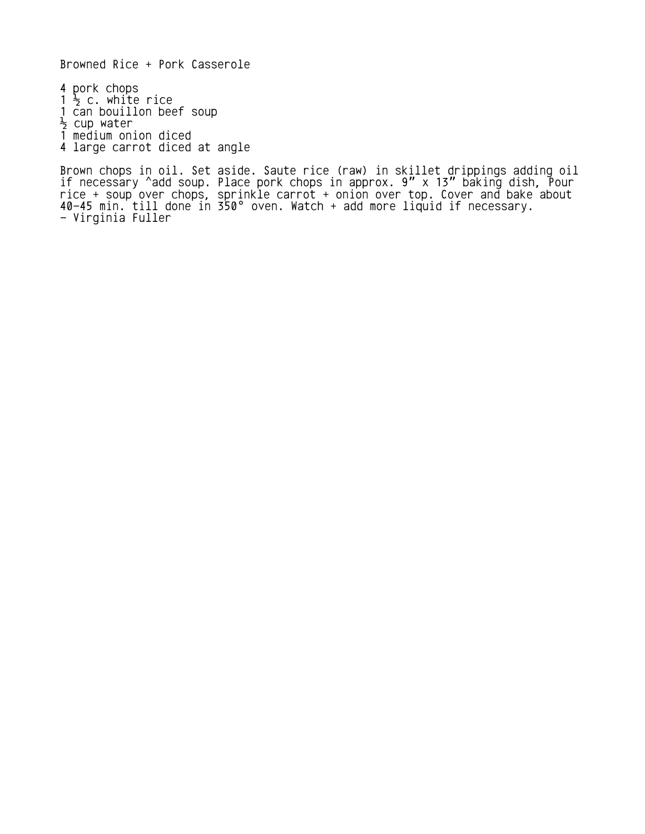Browned Rice + Pork Casserole

4 pork chops  $1\frac{1}{2}$  c. white rice 1 can bouillon beef soup  $\frac{1}{2}$  cup water 1 medium onion diced

4 large carrot diced at angle

Brown chops in oil. Set aside. Saute rice (raw) in skillet drippings adding oil if necessary ^add soup. Place pork chops in approx.  $9'' \times 13''$  baking dish, Pour rice + soup over chops, sprinkle carrot + onion over top. Cover and bake about  $40-45$  min. till done in 350° oven. Watch  $+$  add more liquid if necessary. - Virginia Fuller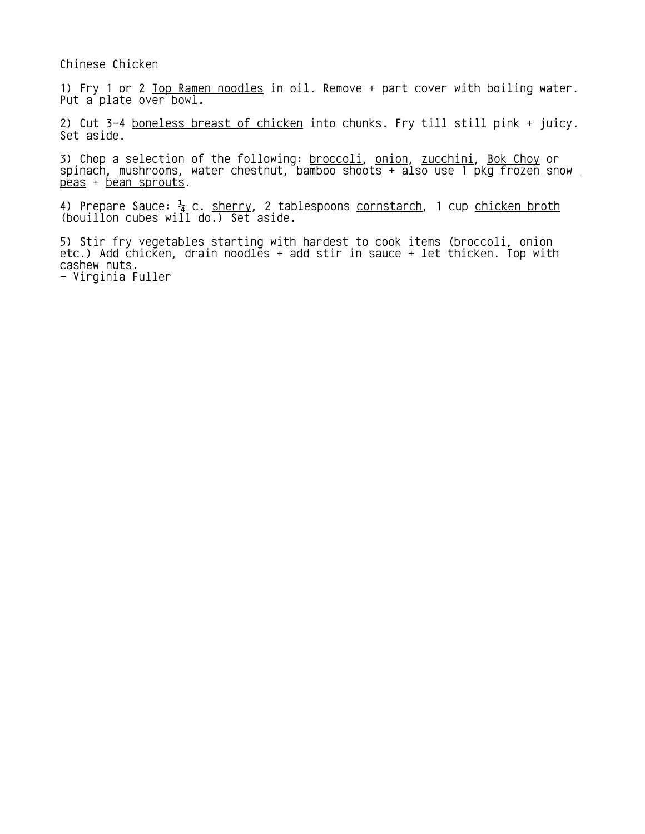Chinese Chicken

1) Fry 1 or 2 Top Ramen noodles in oil. Remove + part cover with boiling water. Put a plate over bowl.

2) Cut 3-4 boneless breast of chicken into chunks. Fry till still pink + juicy. Set aside.

3) Chop a selection of the following: broccoli, onion, zucchini, Bok Choy or spinach, mushrooms, water chestnut, bamboo shoots + also use 1 pkg frozen snow peas + bean sprouts.

4) Prepare Sauce:  $\frac{1}{4}$  c. <u>sherry</u>, 2 tablespoons <u>cornstarch</u>, 1 cup <u>chicken broth</u> (bouillon cubes will do.) Set aside.

5) Stir fry vegetables starting with hardest to cook items (broccoli, onion etc.) Add chicken, drain noodles + add stir in sauce + let thicken. Top with cashew nuts.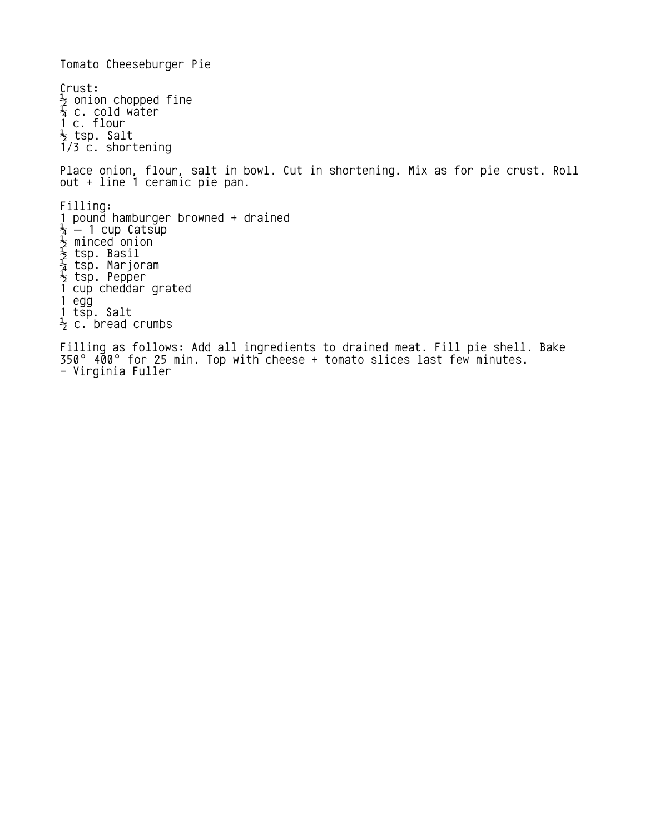Tomato Cheeseburger Pie Crust:  $\frac{1}{2}$  onion chopped fine  $\frac{1}{4}$  c. cold water 1 c. flour  $\frac{1}{2}$  tsp. Salt 1/3 c. shortening Place onion, flour, salt in bowl. Cut in shortening. Mix as for pie crust. Roll out + line 1 ceramic pie pan. Filling: 1 pound hamburger browned + drained  $\frac{1}{4}$  — 1 cup Catsup  $\frac{1}{2}$  minced onion  $\frac{1}{2}$  tsp. Basil  $\frac{1}{4}$  tsp. Marjoram  $\frac{1}{2}$  tsp. Pepper 1 cup cheddar grated 1 egg 1 tsp. Salt  $\frac{1}{2}$  c. bread crumbs Filling as follows: Add all ingredients to drained meat. Fill pie shell. Bake 350° 400 for 25 min. Top with cheese + tomato slices last few minutes. °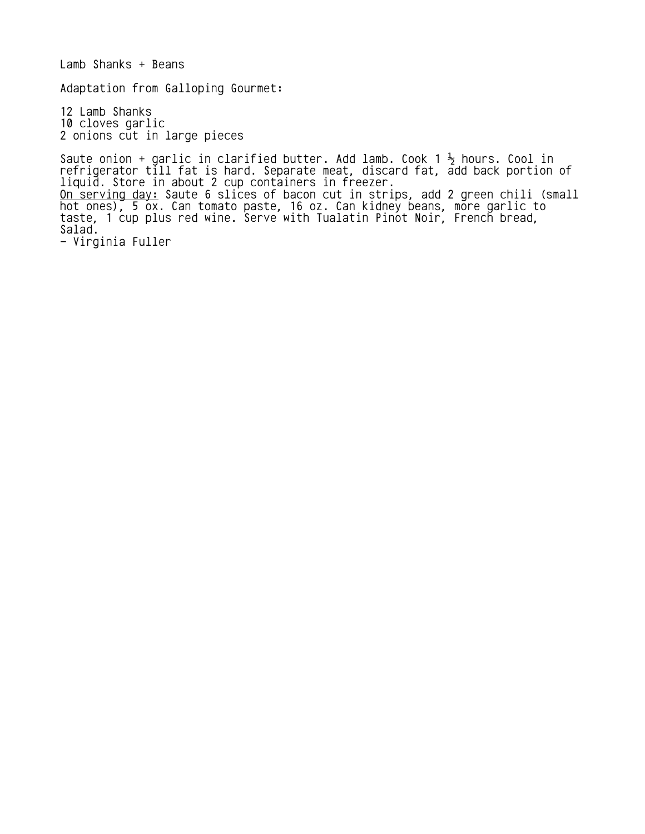Lamb Shanks + Beans Adaptation from Galloping Gourmet: 12 Lamb Shanks 10 cloves garlic 2 onions cut in large pieces Saute onion + garlic in clarified butter. Add lamb. Cook 1  $\frac{1}{2}$  hours. Cool in refrigerator till fat is hard. Separate meat, discard fat, add back portion of liquid. Store in about 2 cup containers in freezer. <u>On serving day:</u> Saute 6 slices of bacon cut in strips, add 2 green chili (small hot ones), 5 ox. Can tomato paste, 16 oz. Can kidney beans, more garlic to

taste, 1 cup plus red wine. Serve with Tualatin Pinot Noir, French bread, Salad.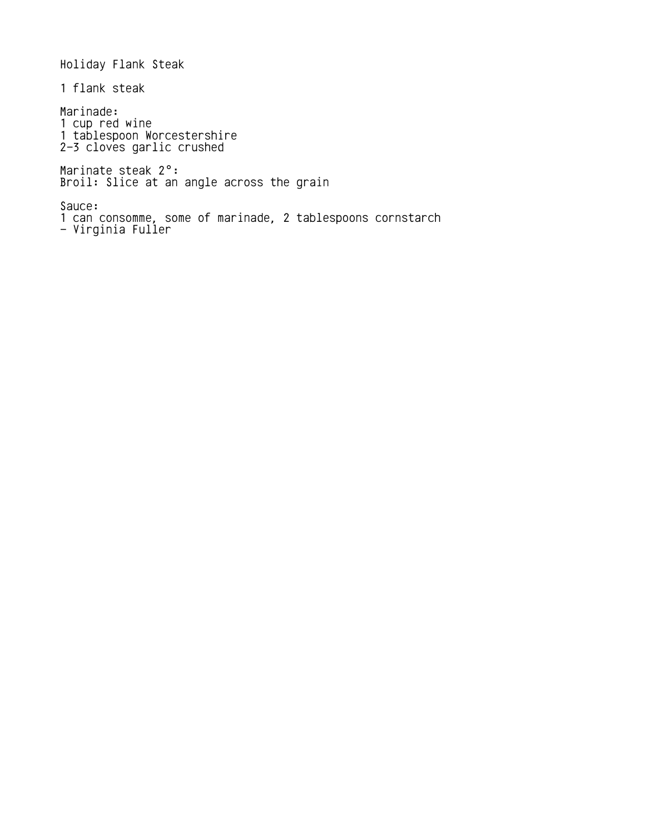Holiday Flank Steak 1 flank steak Marinade: 1 cup red wine 1 tablespoon Worcestershire 2-3 cloves garlic crushed Marinate steak 2°: Broil: Slice at an angle across the grain Sauce: 1 can consomme, some of marinade, 2 tablespoons cornstarch - Virginia Fuller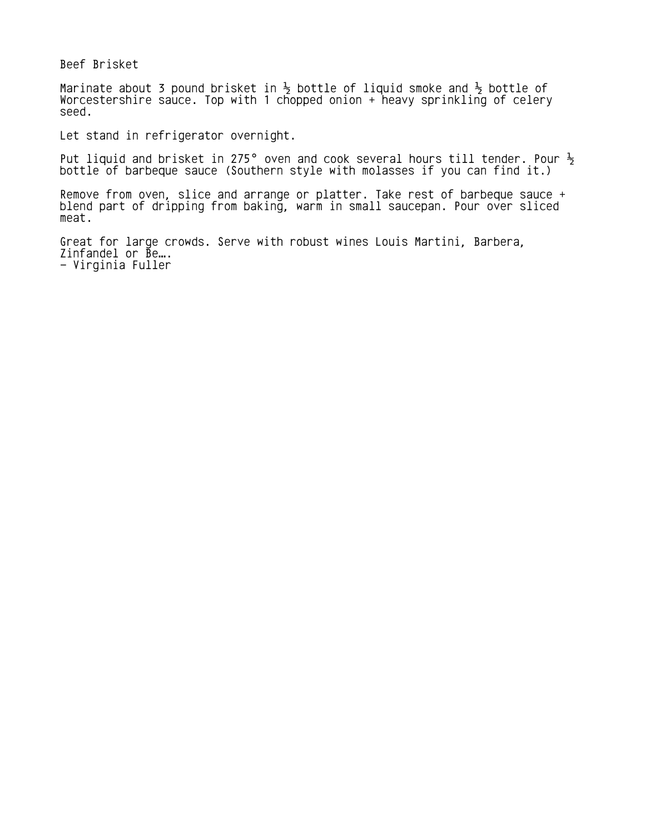Beef Brisket

Marinate about 3 pound brisket in  $\frac{1}{2}$  bottle of liquid smoke and  $\frac{1}{2}$  bottle of Worcestershire sauce. Top with 1 chopped onion + heavy sprinkling of celery seed.

Let stand in refrigerator overnight.

Put liquid and brisket in 275° oven and cook several hours till tender. Pour  $\frac{1}{2}$ bottle of barbeque sauce (Southern style with molasses if you can find it.)

Remove from oven, slice and arrange or platter. Take rest of barbeque sauce + blend part of dripping from baking, warm in small saucepan. Pour over sliced meat.

Great for large crowds. Serve with robust wines Louis Martini, Barbera,  $Z$ infandel or  $\bar{B}$ e... - Virginia Fuller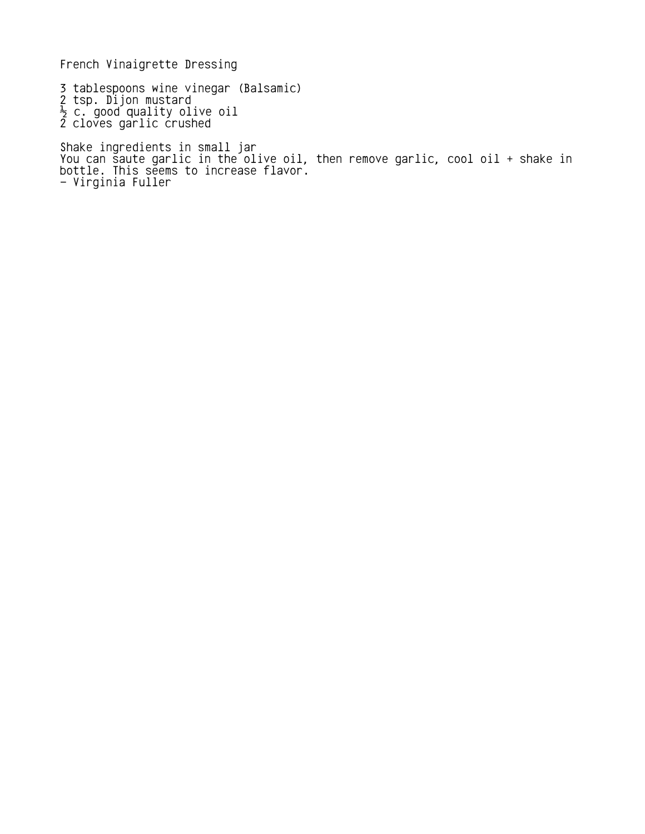French Vinaigrette Dressing

3 tablespoons wine vinegar (Balsamic) 2 tsp. Dijon mustard  $\frac{1}{2}$  c. good quality olive oil 2 cloves garlic crushed Shake ingredients in small jar You can saute garlic in the olive oil, then remove garlic, cool oil + shake in

bottle. This seems to increase flavor. - Virginia Fuller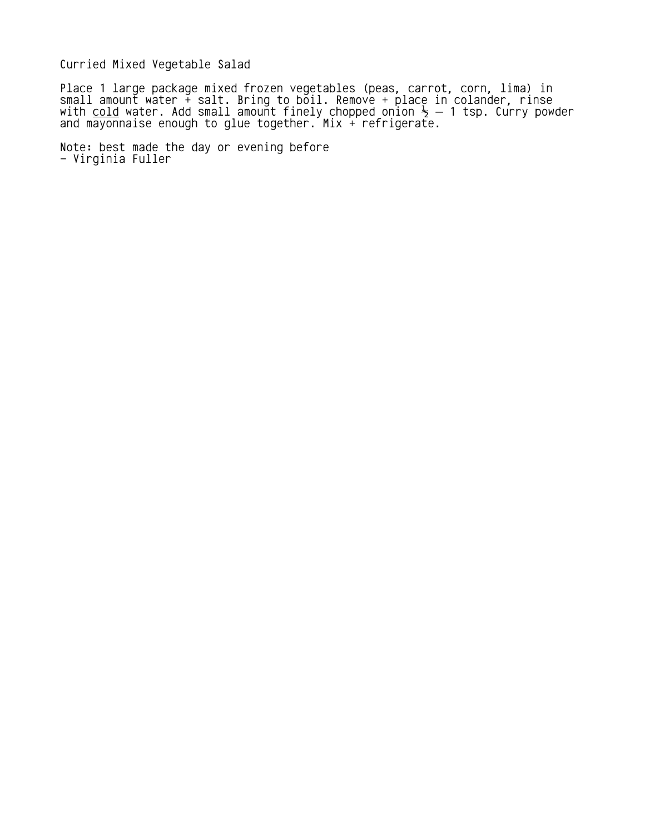Curried Mixed Vegetable Salad

Place 1 large package mixed frozen vegetables (peas, carrot, corn, lima) in small amount water + salt. Bring to boil. Remove + place in colander, rinse with <u>cold</u> water. Add small amount finely chopped onion  $\frac{1}{2}$  — 1 tsp. Curry powder and mayonnaise enough to glue together. Mix + refrigerate.

Note: best made the day or evening before - Virginia Fuller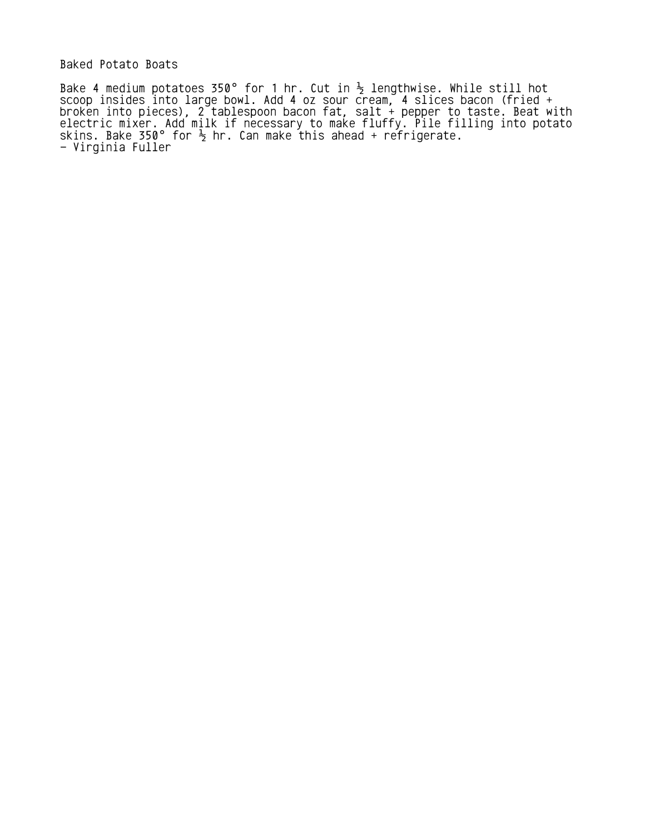Baked Potato Boats

Bake 4 medium potatoes 350° for 1 hr. Cut in  $\frac{1}{2}$  lengthwise. While still hot scoop insides into large bowl. Add 4 oz sour cream, 4 slices bacon (fried + broken into pieces), 2 tablespoon bacon fat, salt + pepper to taste. Beat with electric mixer. Add milk if necessary to make fluffy. Pile filling into potato skins. Bake 350° for  $\frac{1}{2}$  hr. Can make this ahead + refrigerate. - Virginia Fuller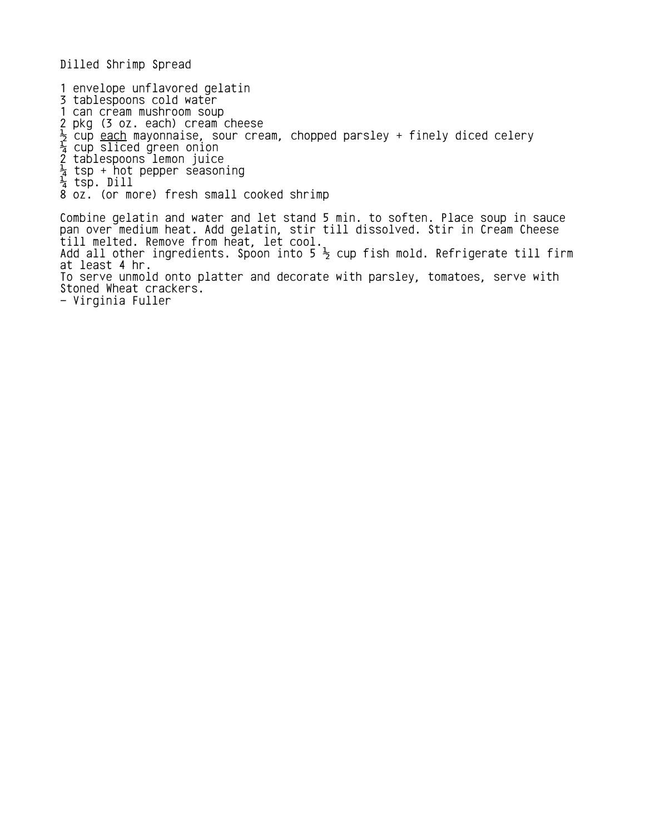Dilled Shrimp Spread

1 envelope unflavored gelatin

- 3 tablespoons cold water
- 1 can cream mushroom soup
- 2 pkg (3 oz. each) cream cheese
- $\frac{1}{2}$  cup <u>each</u> mayonnaise, sour cream, chopped parsley + finely diced celery
- $\frac{1}{4}$  cup sliced green onion
- 2 tablespoons lemon juice
- $\frac{1}{4}$  tsp + hot pepper seasoning
- ¼ tsp. Dill
- 8 oz. (or more) fresh small cooked shrimp

Combine gelatin and water and let stand 5 min. to soften. Place soup in sauce pan over medium heat. Add gelatin, stir till dissolved. Stir in Cream Cheese till melted. Remove from heat, let cool. Add all other ingredients. Spoon into 5  $\frac{1}{2}$  cup fish mold. Refrigerate till firm at least 4 hr. To serve unmold onto platter and decorate with parsley, tomatoes, serve with Stoned Wheat crackers. - Virginia Fuller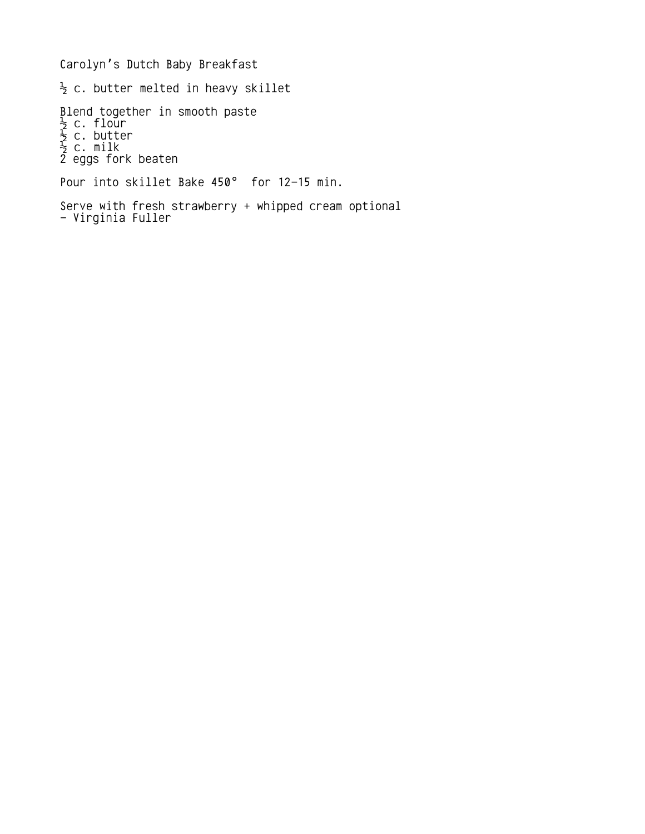Carolyn's Dutch Baby Breakfast  $\frac{1}{2}$  c. butter melted in heavy skillet Blend together in smooth paste  $\frac{1}{2}$  c. flour  $\frac{1}{2}$  c. butter  $\frac{1}{2}$  c. milk 2 eggs fork beaten Pour into skillet Bake 450° for 12-15 min. Serve with fresh strawberry + whipped cream optional - Virginia Fuller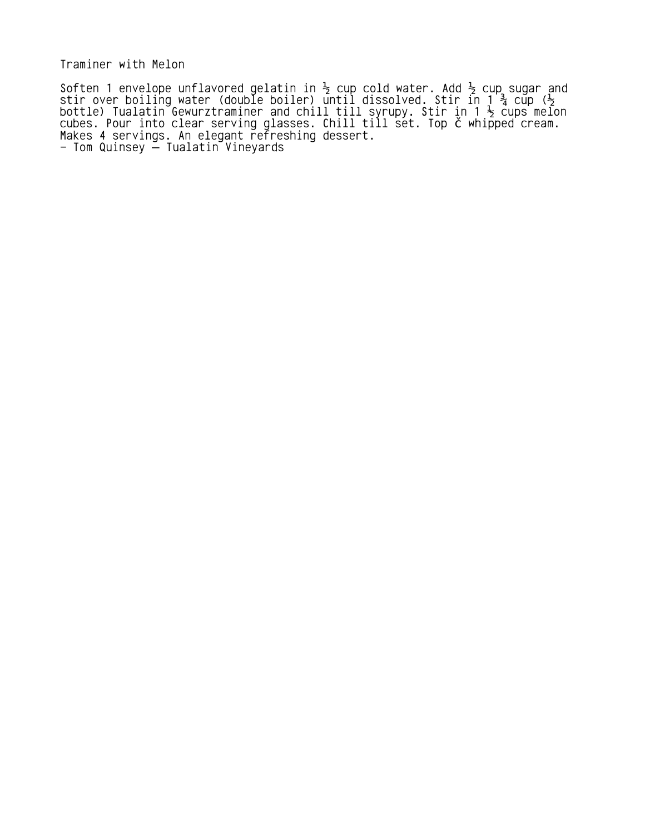Traminer with Melon

Soften 1 envelope unflavored gelatin in  $\frac{1}{2}$  cup cold water. Add  $\frac{1}{2}$  cup sugar and stir over boiling water (double boiler) until dissolved. Stir in 1  $\frac{3}{4}$  cup ( $\frac{1}{2}$ bottle) Tualatin Gewurztraminer and chill till syrupy. Stir in 1  $\frac{1}{2}$  cups melon cubes. Pour into clear serving glasses. Chill till set. Top č whipped cream. Makes 4 servings. An elegant refreshing dessert. – Tom Quinsey —̃ Tualatin ̃Vineyards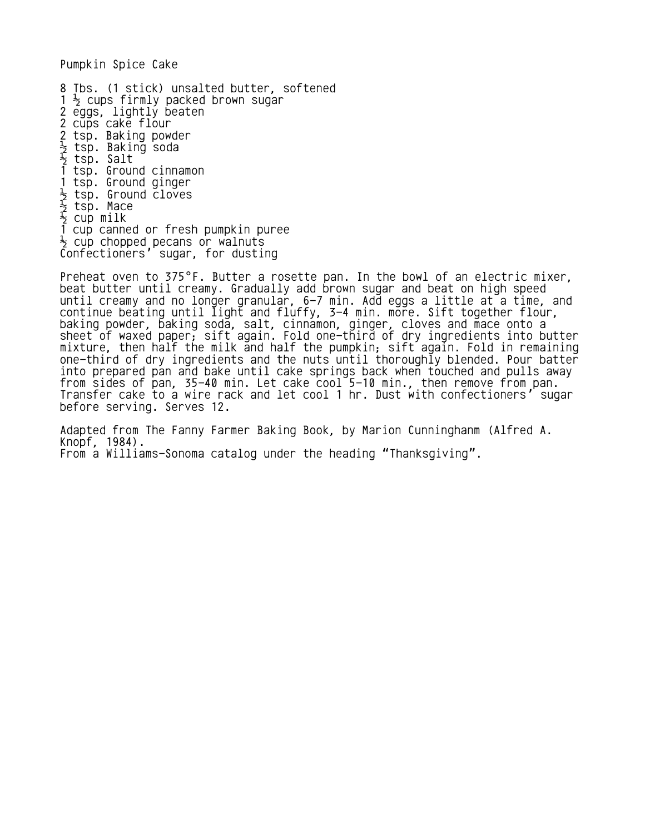Pumpkin Spice Cake

8 Tbs. (1 stick) unsalted butter, softened  $1 \frac{1}{2}$  cups firmly packed brown sugar 2 eggs, lightly beaten 2 cups cake flour 2 tsp. Baking powder  $\frac{1}{2}$  tsp. Baking soda ½ tsp. Salt 1 tsp. Ground cinnamon 1 tsp. Ground ginger  $\frac{1}{2}$  tsp. Ground cloves  $\frac{1}{2}$  tsp. Mace  $\frac{1}{2}$  cup milk 1 cup canned or fresh pumpkin puree  $\frac{1}{2}$  cup chopped pecans or walnuts Confectioners' sugar, for dusting

Preheat oven to 375°F. Butter a rosette pan. In the bowl of an electric mixer, beat butter until creamy. Gradually add brown sugar and beat on high speed until creamy and no longer granular, 6-7 min. Add eggs a little at a time, and continue beating until light and fluffy, 3-4 min. more. Sift together flour, baking powder, baking soda, salt, cinnamon, ginger, cloves and mace onto a sheet of waxed paper; sift again. Fold one-third of dry ingredients into butter mixture, then half the milk and half the pumpkin; sift again. Fold in remaining one-third of dry ingredients and the nuts until thoroughly blended. Pour batter into prepared pan and bake until cake springs back when touched and pulls away from sides of pan, 35-40 min. Let cake cool 5-10 min., then remove from pan. Transfer cake to a wire rack and let cool 1 hr. Dust with confectioners' sugar before serving. Serves 12.

Adapted from The Fanny Farmer Baking Book, by Marion Cunninghanm (Alfred A. Knopf, 1984). From a Williams-Sonoma catalog under the heading "Thanksgiving".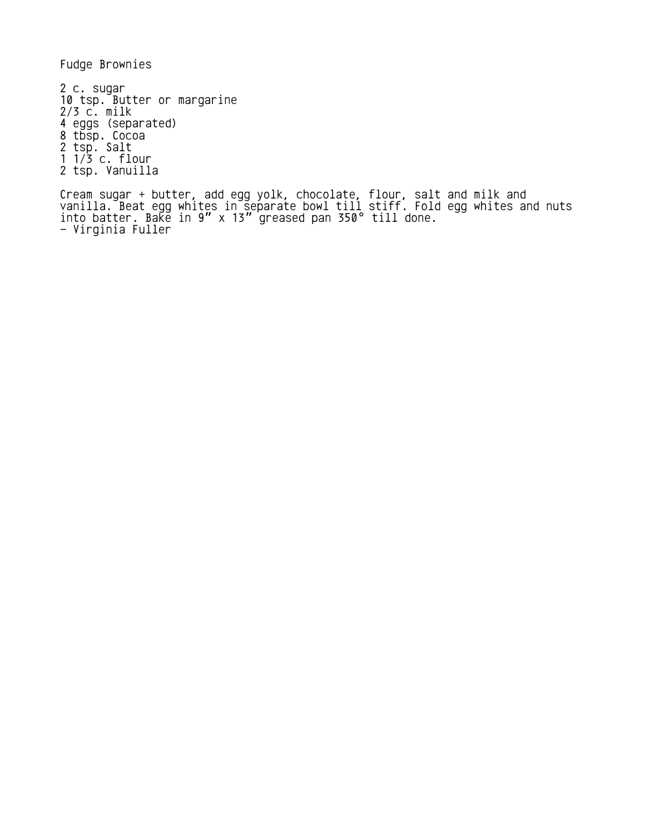Fudge Brownies

2 c. sugar 10 tsp. Butter or margarine 2/3 c. milk 4 eggs (separated) 8 tbsp. Cocoa 2 tsp. Salt 1 1/3 c. flour 2 tsp. Vanuilla

Cream sugar + butter, add egg yolk, chocolate, flour, salt and milk and vanilla. Beat egg whites in separate bowl till stiff. Fold egg whites and nuts into batter. Ba $\bar{k}$ e in 9" x 13" greased pan 350° till done. - Virginia Fuller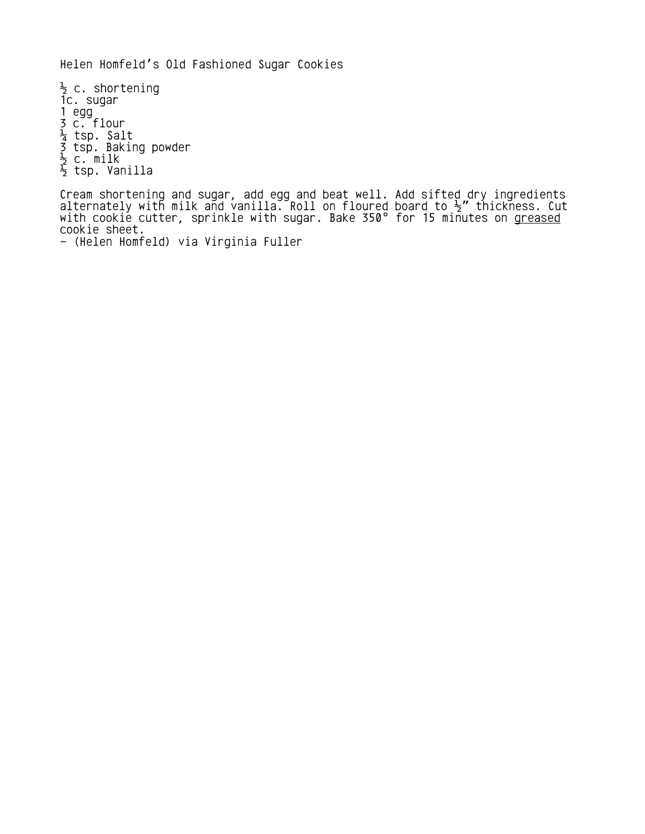Helen Homfeld's Old Fashioned Sugar Cookies

 $\frac{1}{2}$  c. shortening 1c. sugar 1 egg 3 c. flour  $\frac{1}{4}$  tsp. Salt 3 tsp. Baking powder  $\frac{1}{2}$  c. milk  $\frac{1}{2}$  tsp. Vanilla

Cream shortening and sugar, add egg and beat well. Add sifted dry ingredients alternately with milk and vanilla. Roll on floured board to  $\frac{1}{2}$ " thickness. Cut with cookie cutter, sprinkle with sugar. Bake 350° for 15 minutes on <u>greased</u> cookie sheet.

<sup>- (</sup>Helen Homfeld) via Virginia Fuller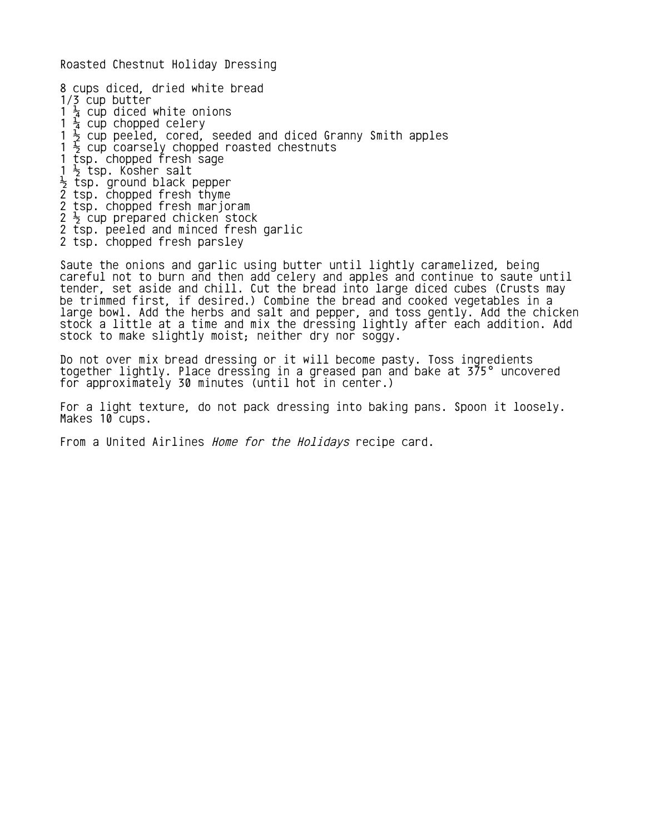Roasted Chestnut Holiday Dressing

8 cups diced, dried white bread  $1/\sqrt{2}$  cup butter 1  $\frac{1}{4}$  cup diced white onions  $1\frac{1}{4}$  cup chopped celery 1  $\frac{1}{2}$  cup peeled, cored, seeded and diced Granny Smith apples  $1 \frac{1}{2}$  cup coarsely chopped roasted chestnuts 1 tsp. chopped fresh sage  $1 \frac{1}{2}$  tsp. Kosher salt  $\frac{1}{2}$  tsp. ground black pepper 2 tsp. chopped fresh thyme 2 tsp. chopped fresh marjoram  $2\frac{1}{2}$  cup prepared chicken stock 2 tsp. peeled and minced fresh garlic 2 tsp. chopped fresh parsley

Saute the onions and garlic using butter until lightly caramelized, being careful not to burn and then add celery and apples and continue to saute until tender, set aside and chill. Cut the bread into large diced cubes (Crusts may be trimmed first, if desired.) Combine the bread and cooked vegetables in a large bowl. Add the herbs and salt and pepper, and toss gently. Add the chicken stock a little at a time and mix the dressing lightly after each addition. Add stock to make slightly moist; neither dry nor soggy.

Do not over mix bread dressing or it will become pasty. Toss ingredients together lightly. Place dressing in a greased pan and bake at 375° uncovered for approximately 30 minutes (until hot in center.)

For a light texture, do not pack dressing into baking pans. Spoon it loosely. Makes 10 cups.

From a United Airlines *Home for the Holidays* recipe card.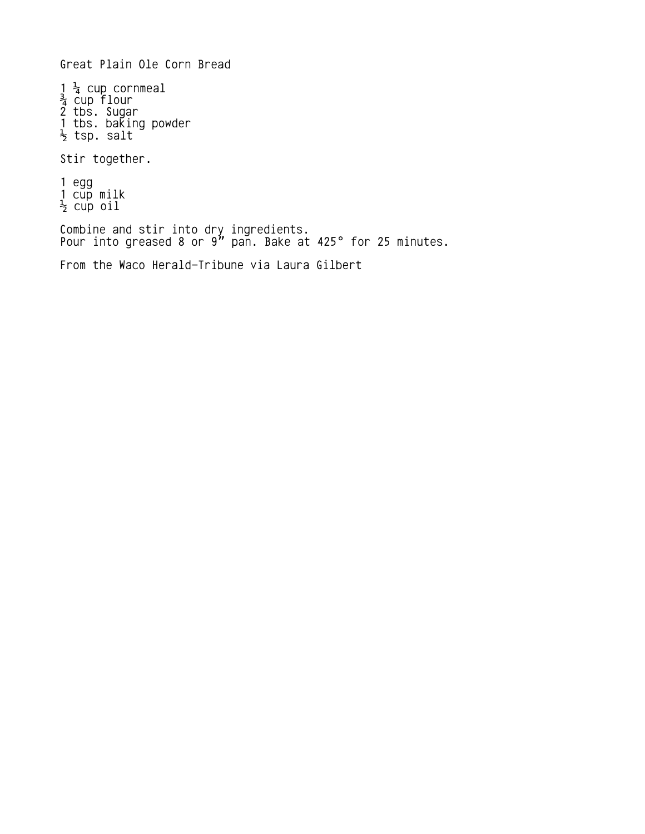Great Plain Ole Corn Bread

 $1\frac{1}{4}$  cup cornmeal  $\frac{3}{4}$  cup flour 2 tbs. Sugar 1 tbs. baking powder  $\frac{1}{2}$  tsp. salt

Stir together.

1 egg 1 cup milk  $\frac{1}{2}$  cup oil

Combine and stir into dry ingredients. Pour into greased 8 or  $9"$  pan. Bake at 425° for 25 minutes.

From the Waco Herald-Tribune via Laura Gilbert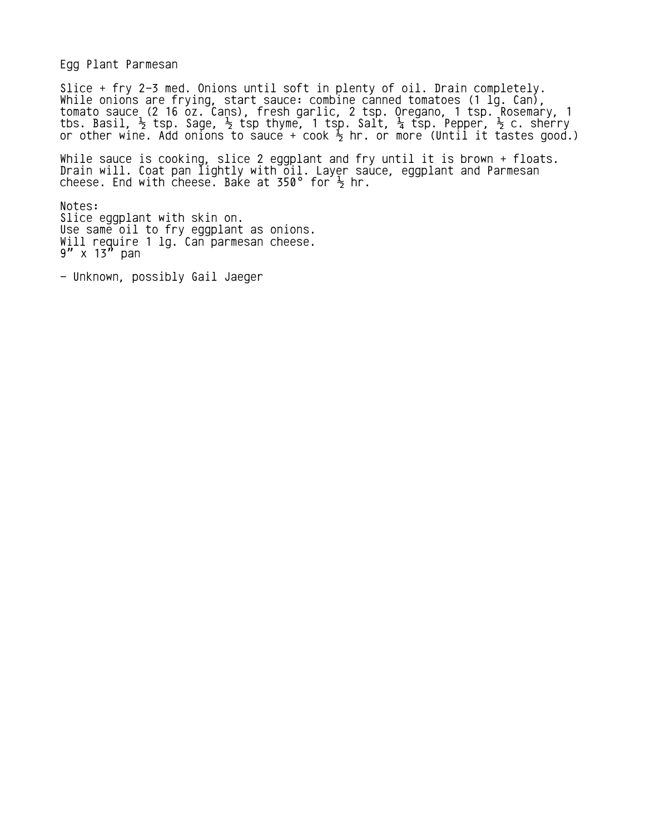Egg Plant Parmesan

Slice + fry 2-3 med. Onions until soft in plenty of oil. Drain completely. While onions are frying, start sauce: combine canned tomatoes (1 lg. Can), tomato sauce (2 16 oz. Cans), fresh garlic, 2 tsp. Oregano, 1 tsp. Rosemary, 1 tbs. Basil,  $\frac{1}{2}$  tsp. Sage,  $\frac{1}{2}$  tsp thyme, 1 tsp. Salt,  $\frac{1}{4}$  tsp. Pepper,  $\frac{1}{2}$  c. sherry or other wine. Add onions to sauce + cook  $\frac{1}{2}$  hr. or more (Until it tastes good.)

While sauce is cooking, slice 2 eggplant and fry until it is brown + floats. Drain will. Coat pan lightly with oil. Layer sauce, eggplant and Parmesan cheese. End with cheese. Bake at 350° for  $\frac{1}{2}$  hr.

Notes: Slice eggplant with skin on. Use same oil to fry eggplant as onions. Will require 1 lg. Can parmesan cheese.  $9''$  x 13" pan

- Unknown, possibly Gail Jaeger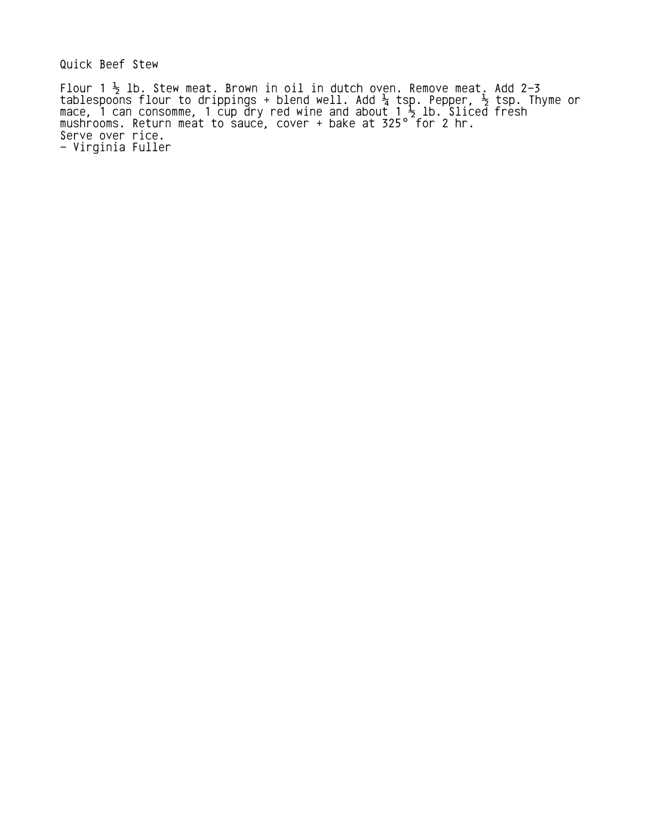Quick Beef Stew

Flour 1  $\frac{1}{2}$  lb. Stew meat. Brown in oil in dutch oven. Remove meat. Add 2–3 tablespoons flour to drippings + blend well. Add  $\frac{1}{4}$  tsp. Pepper,  $\frac{1}{2}$  tsp. Thyme or mace, 1 can consomme, 1 cup dry red wine and about 1  $\frac{1}{2}$  lb. Sliced fresh mushrooms. Return meat to sauce, cover + bake at 325 $^{\circ}$  for 2 hr. Serve over rice. - Virginia Fuller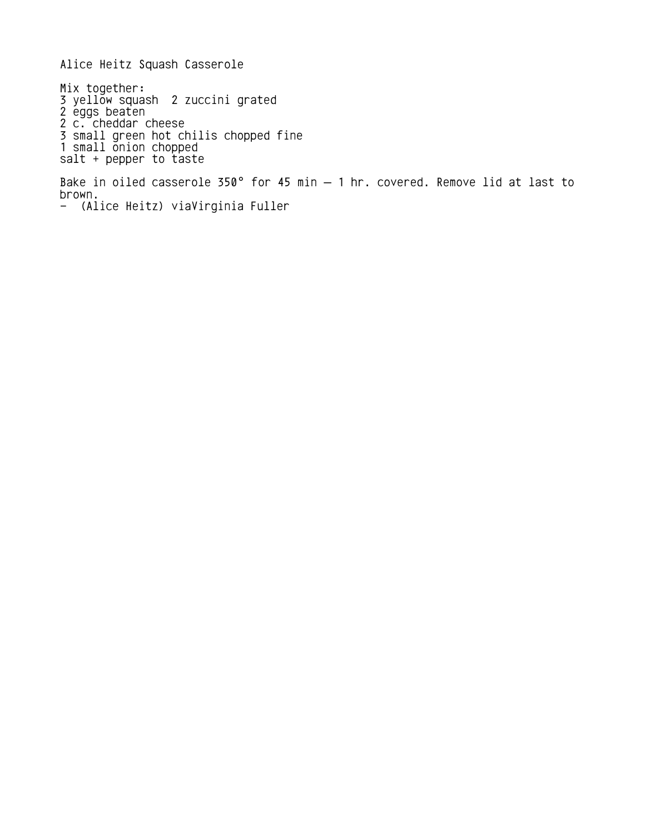Alice Heitz Squash Casserole Mix together: 3 yellow squash 2 zuccini grated 2 eggs beaten 2 c. cheddar cheese 3 small green hot chilis chopped fine 1 small onion chopped salt + pepper to taste Bake in oiled casserole 350° for 45 min  $-$  1 hr. covered. Remove lid at last to brown. - (Alice Heitz) viaVirginia Fuller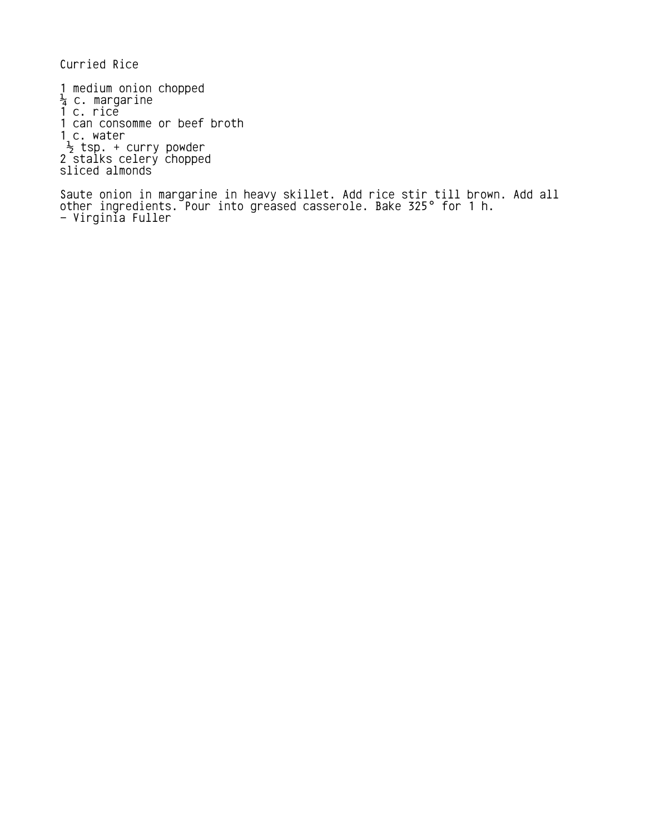Curried Rice

1 medium onion chopped  $\frac{1}{4}$  c. margarine 1 c. rice 1 can consomme or beef broth 1<sub>,</sub>c. water  $\frac{1}{2}$  tsp. + curry powder 2 stalks celery chopped sliced almonds

Saute onion in margarine in heavy skillet. Add rice stir till brown. Add all other ingredients. Pour into greased casserole. Bake 325° for 1 h. - Virginia Fuller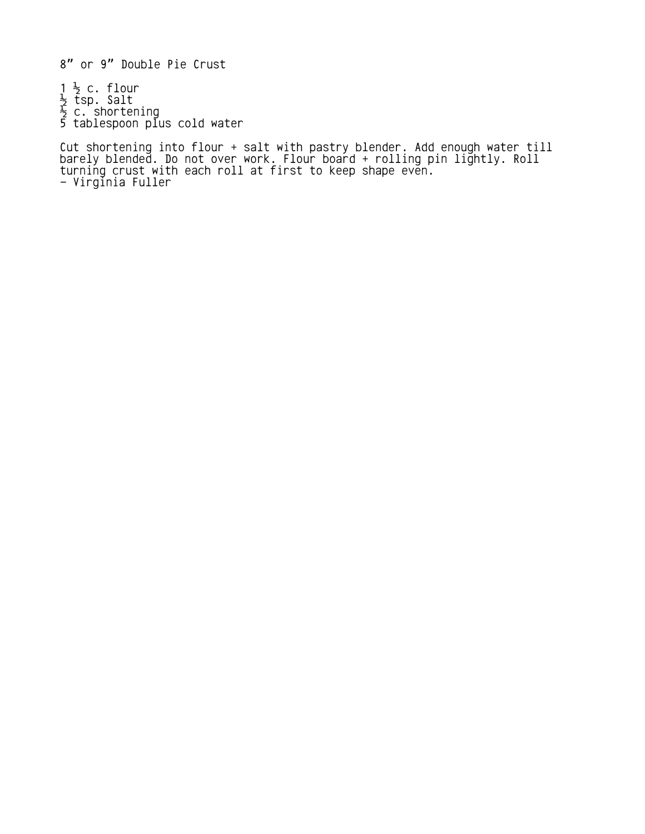8" or 9" Double Pie Crust

 $1\frac{1}{2}$  c. flour  $\frac{1}{2}$  tsp. Salt  $\frac{1}{2}$  c. shortening 5 tablespoon plus cold water

Cut shortening into flour + salt with pastry blender. Add enough water till barely blended. Do not over work. Flour board + rolling pin lightly. Roll turning crust with each roll at first to keep shape even. - Virginia Fuller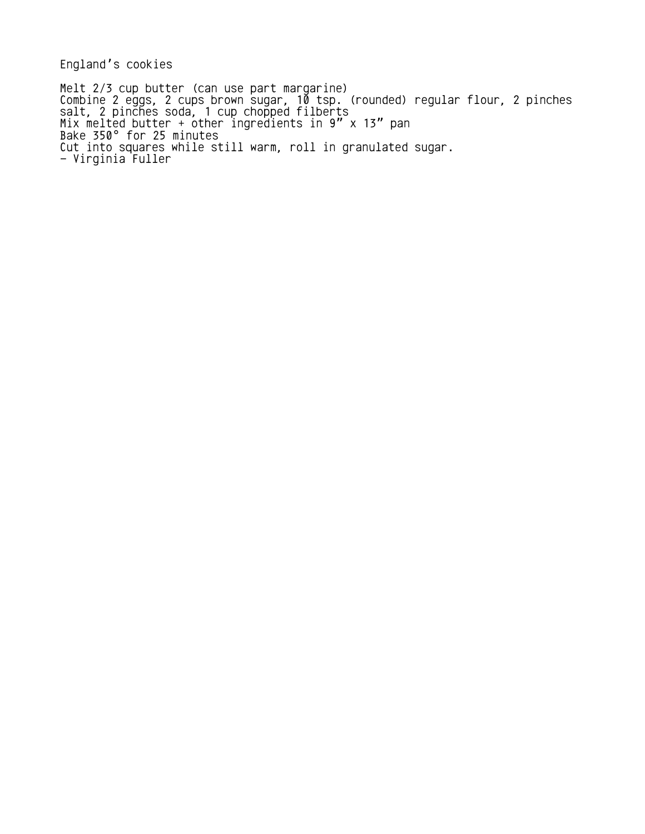England's cookies

Melt 2/3 cup butter (can use part margarine) Combine 2 eggs, 2 cups brown sugar, 10 tsp. (rounded) regular flour, 2 pinches salt, 2 pinches soda, 1 cup chopped filberts Mix melted butter + other ingredients in 9" x 13" pan Bake 350° for 25 minutes Cut into squares while still warm, roll in granulated sugar. - Virginia Fuller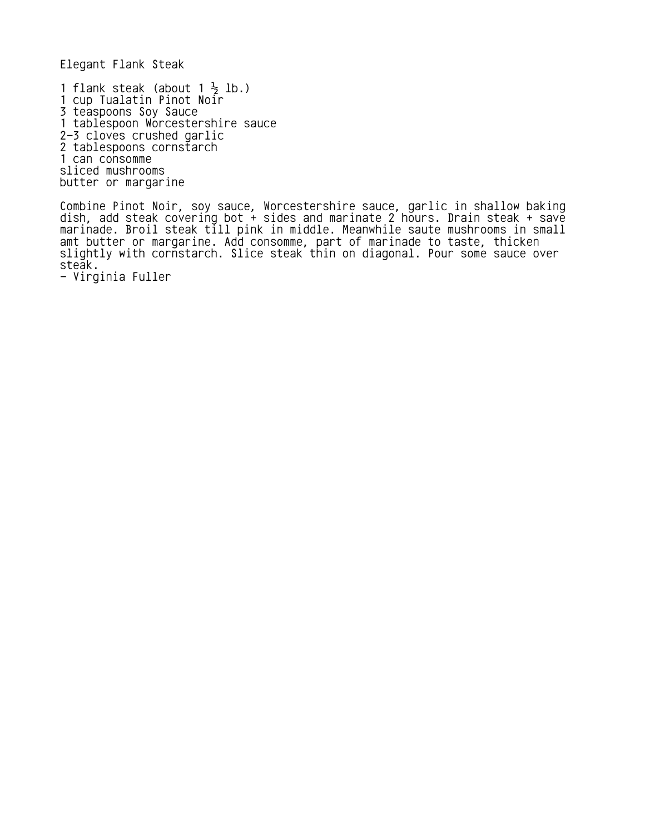Elegant Flank Steak

1 flank steak (about 1  $\frac{1}{2}$  lb.) 1 cup Tualatin Pinot Noir 3 teaspoons Soy Sauce 1 tablespoon Worcestershire sauce 2-3 cloves crushed garlic 2 tablespoons cornstarch 1 can consomme sliced mushrooms butter or margarine

Combine Pinot Noir, soy sauce, Worcestershire sauce, garlic in shallow baking dish, add steak covering bot + sides and marinate 2 hours. Drain steak + save marinade. Broil steak till pink in middle. Meanwhile saute mushrooms in small amt butter or margarine. Add consomme, part of marinade to taste, thicken slightly with cornstarch. Slice steak thin on diagonal. Pour some sauce over steak.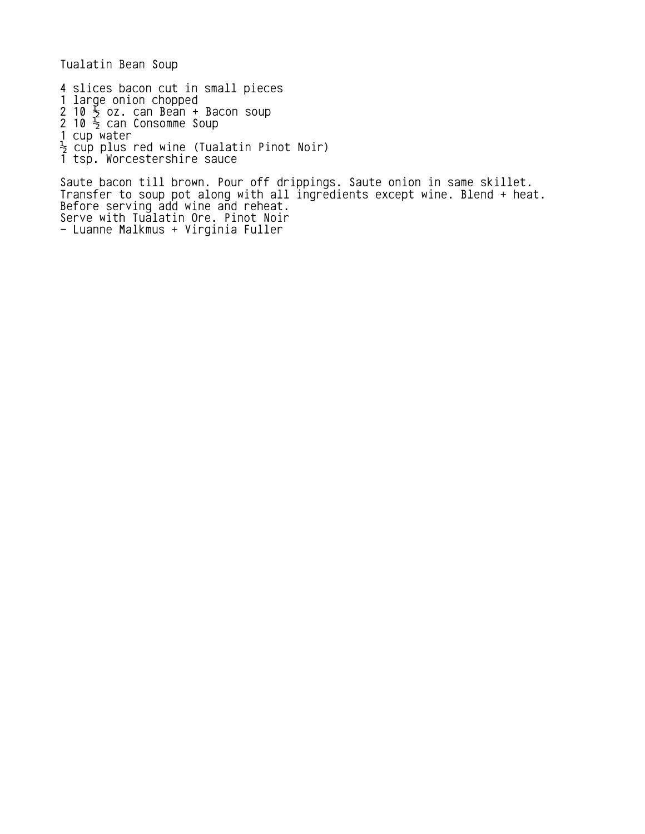Tualatin Bean Soup

4 slices bacon cut in small pieces

- 1 large onion chopped
- 2 10  $\frac{1}{2}$  oz. can Bean + Bacon soup
- 2 10  $\frac{1}{2}$  can Consomme Soup
- 1 cup water
- $\frac{1}{2}$  cup plus red wine (Tualatin Pinot Noir)
- 1 tsp. Worcestershire sauce

Saute bacon till brown. Pour off drippings. Saute onion in same skillet. Transfer to soup pot along with all ingredients except wine. Blend + heat. Before serving add wine and reheat. Serve with Tualatin Ore. Pinot Noir - Luanne Malkmus + Virginia Fuller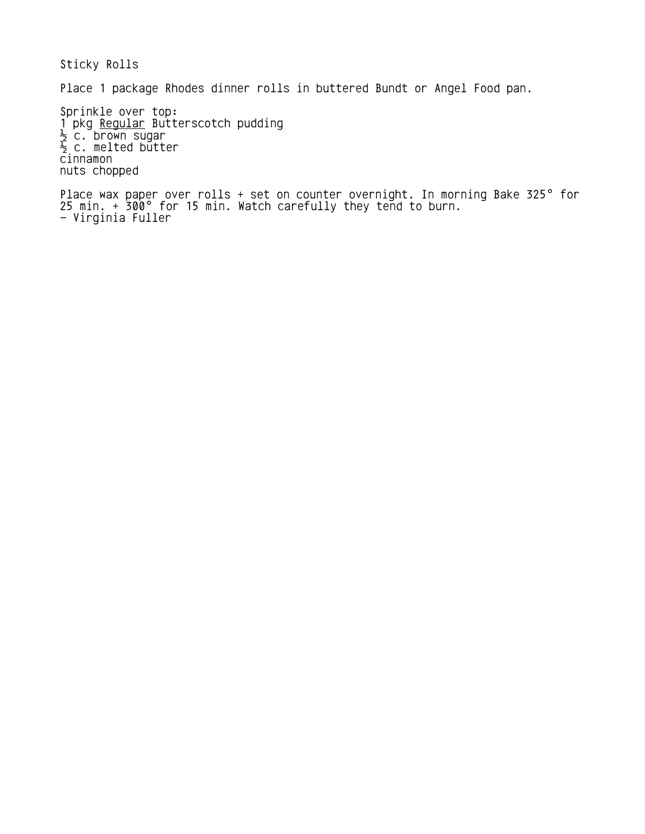Sticky Rolls

Place 1 package Rhodes dinner rolls in buttered Bundt or Angel Food pan.

Sprinkle over top: 1 pkg Regular Butterscotch pudding  $\frac{1}{2}$  c. brown sugar  $\frac{1}{2}$  c. melted butter cinnamon nuts chopped

Place wax paper over rolls + set on counter overnight. In morning Bake 325° for 25 min.  $+$  300° for 15 min. Watch carefully they tend to burn. - Virginia Fuller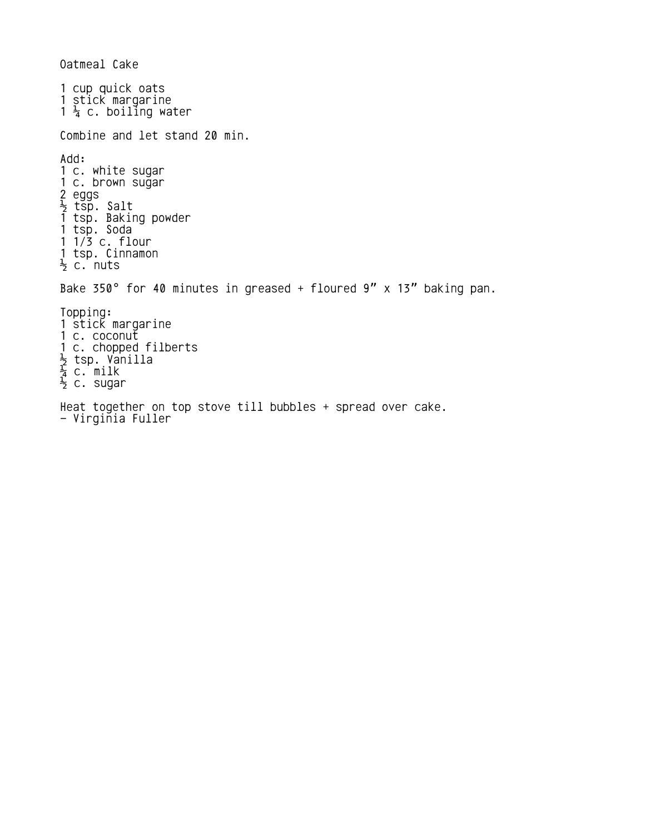Oatmeal Cake 1 cup quick oats 1 stick margarine  $1\frac{1}{4}$  c. boiling water Combine and let stand 20 min. Add: 1 c. white sugar 1 c. brown sugar 2 eggs  $\frac{1}{2}$  tsp. Salt 1 tsp. Baking powder 1 tsp. Soda  $1 / 3$  c. flour 1 tsp. Cinnamon  $\frac{1}{2}$  c. nuts Bake 350° for 40 minutes in greased + floured  $9''$  x 13" baking pan. Topping: 1 stick margarine 1 c. coconut 1 c. chopped filberts  $\frac{1}{2}$  tsp. Vanilla  $\frac{1}{4}$  c. milk  $\frac{1}{2}$  c. sugar Heat together on top stove till bubbles + spread over cake. - Virginia Fuller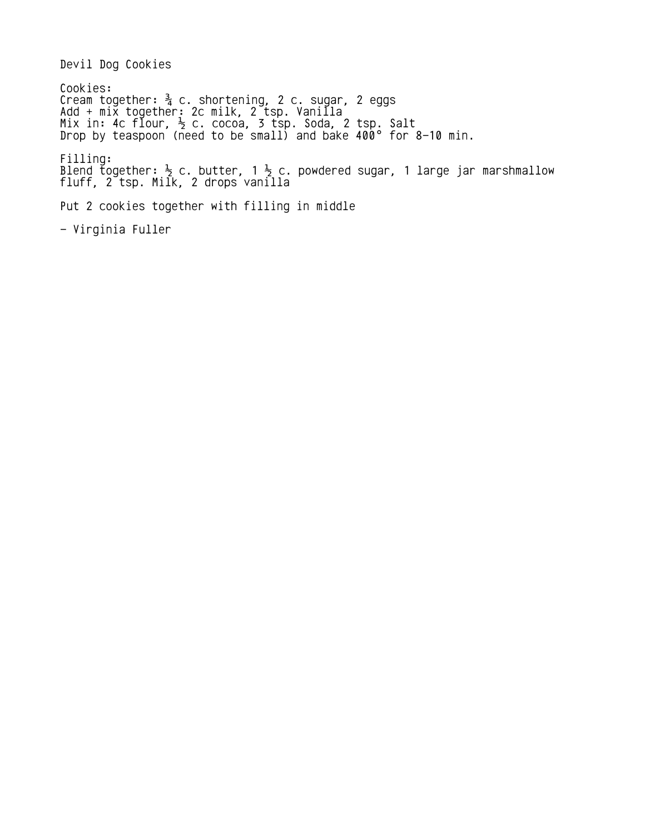Devil Dog Cookies

Cookies: Cream together:  $\frac{3}{4}$  c. shortening, 2 c. sugar, 2 eggs Add + mix together: 2c milk, 2 tsp. Vanilla Mix in: 4c flour,  $\frac{1}{2}$  c. cocoa, 3 tsp. Soda, 2 tsp. Salt Drop by teaspoon (need to be small) and bake 400° for 8–10 min. Filling: Blend t̄ogether:  $\frac{1}{2}$  c. butter, 1  $\frac{1}{2}$  c. powdered sugar, 1 large jar marshmallow fluff, 2 tsp. Milk, 2 drops vanilla Put 2 cookies together with filling in middle - Virginia Fuller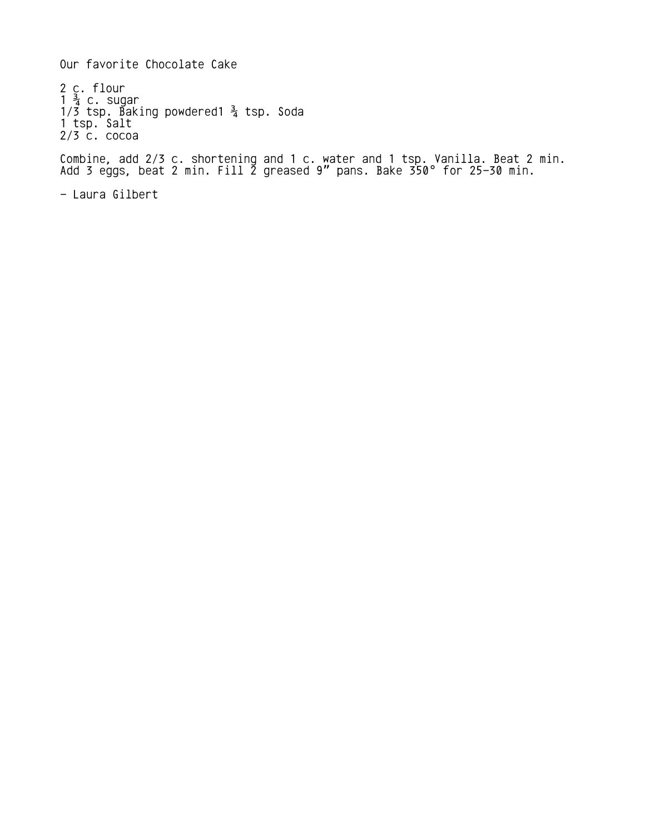Our favorite Chocolate Cake

2 c. flour  $1 \frac{3}{4}$  c. sugar 1/3 tsp. Baking powdered1  $\frac{3}{4}$  tsp. Soda 1 tsp. Salt 2/3 c. cocoa

Combine, add 2/3 c. shortening and 1 c. water and 1 tsp. Vanilla. Beat 2 min. Add 3 eggs, beat 2 min. Fill  $\tilde{2}$  greased 9" pans. Bake 350° for 25–30 min.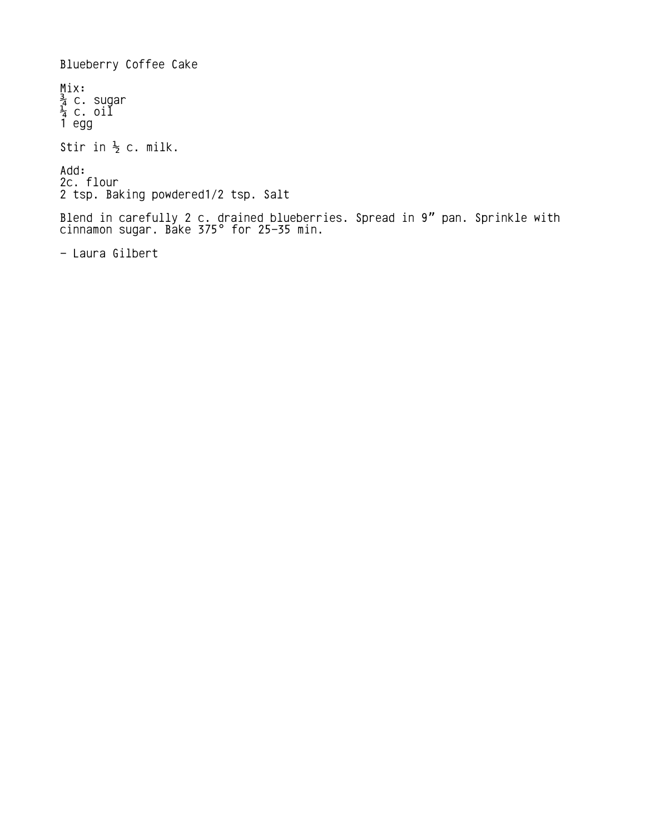Blueberry Coffee Cake Mix:  $\frac{3}{4}$  c. sugar  $\frac{1}{4}$  c. oil 1 egg Stir in  $\frac{1}{2}$  c. milk. Add: 2c. flour 2 tsp. Baking powdered1/2 tsp. Salt Blend in carefully 2 c. drained blueberries. Spread in 9" pan. Sprinkle with cinnamon sugar. Bake 375° for 25–35 min.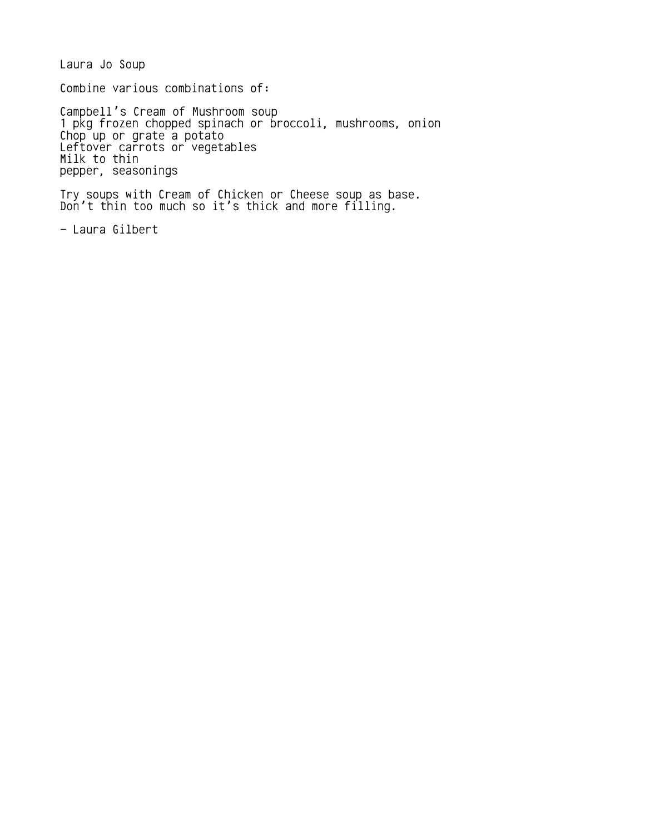Laura Jo Soup

Combine various combinations of:

Campbell's Cream of Mushroom soup 1 pkg frozen chopped spinach or broccoli, mushrooms, onion Chop up or grate a potato Leftover carrots or vegetables Milk to thin pepper, seasonings

Try soups with Cream of Chicken or Cheese soup as base. Don't thin too much so it's thick and more filling.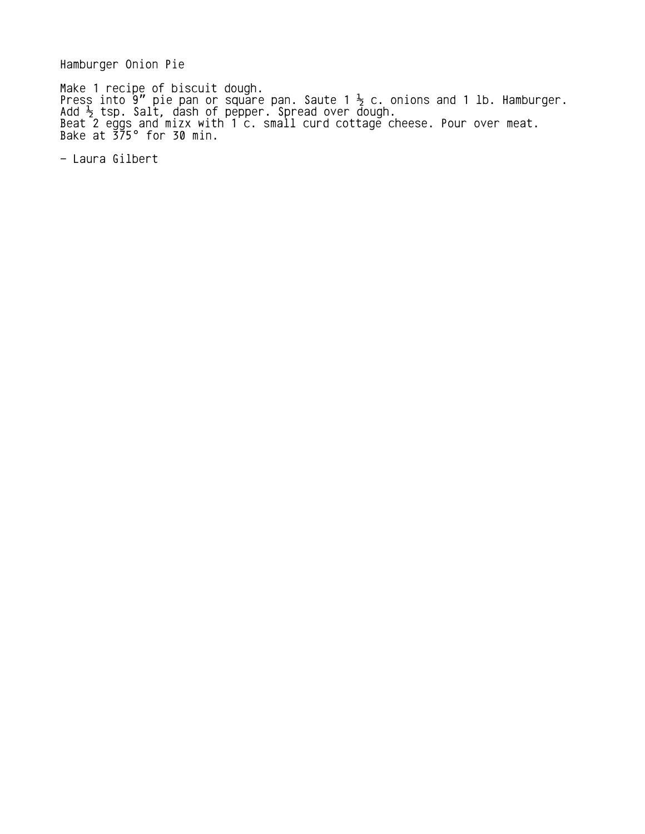Hamburger Onion Pie

Make 1 recipe of biscuit dough. Press into 9" pie pan or square pan. Saute 1  $\frac{1}{2}$  c. onions and 1 lb. Hamburger. Add  $\frac{1}{2}$  tsp. Salt, dash of pepper. Spread over dough. Beat 2 eggs and mizx with 1 c. small curd cottage cheese. Pour over meat. Bake at 375° for 30 min.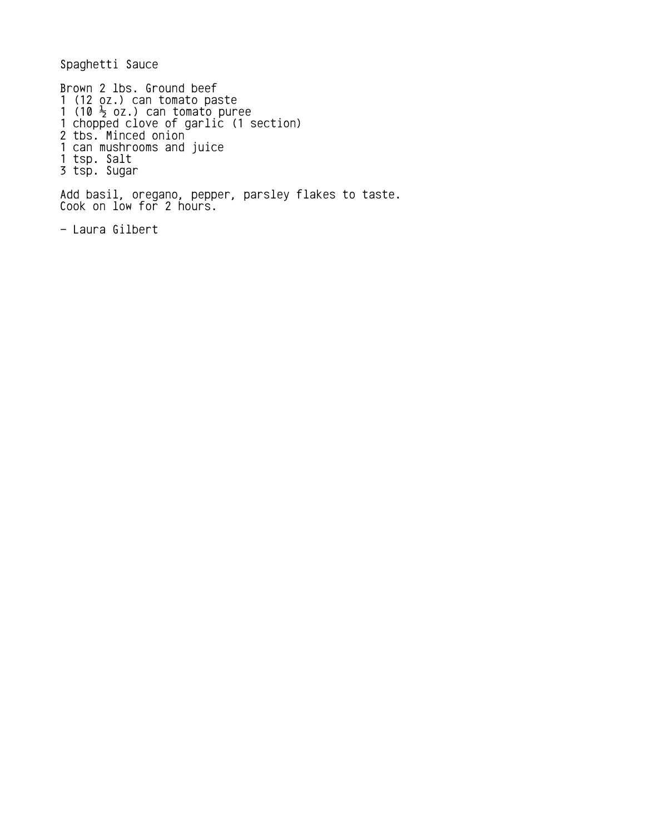Spaghetti Sauce

Brown 2 lbs. Ground beef 1 (12 oz.) can tomato paste 1 (10  $\frac{1}{2}$  oz.) can tomato puree 1 chopped clove of garlic (1 section) 2 tbs. Minced onion 1 can mushrooms and juice 1 tsp. Salt 3 tsp. Sugar

Add basil, oregano, pepper, parsley flakes to taste. Cook on low for 2 hours.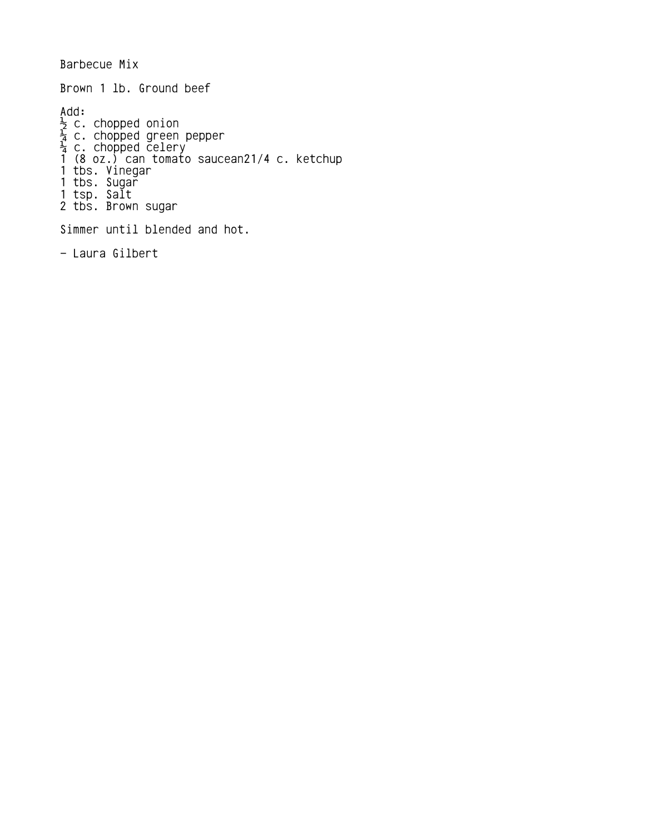Barbecue Mix Brown 1 lb. Ground beef Add:  $\frac{1}{2}$  c. chopped onion  $\frac{1}{4}$  c. chopped green pepper  $\frac{1}{4}$  c. chopped celery 1 (8 oz.) can tomato saucean21/4 c. ketchup 1 tbs. Vinegar 1 tbs. Sugar 1 tsp. Salt 2 tbs. Brown sugar Simmer until blended and hot.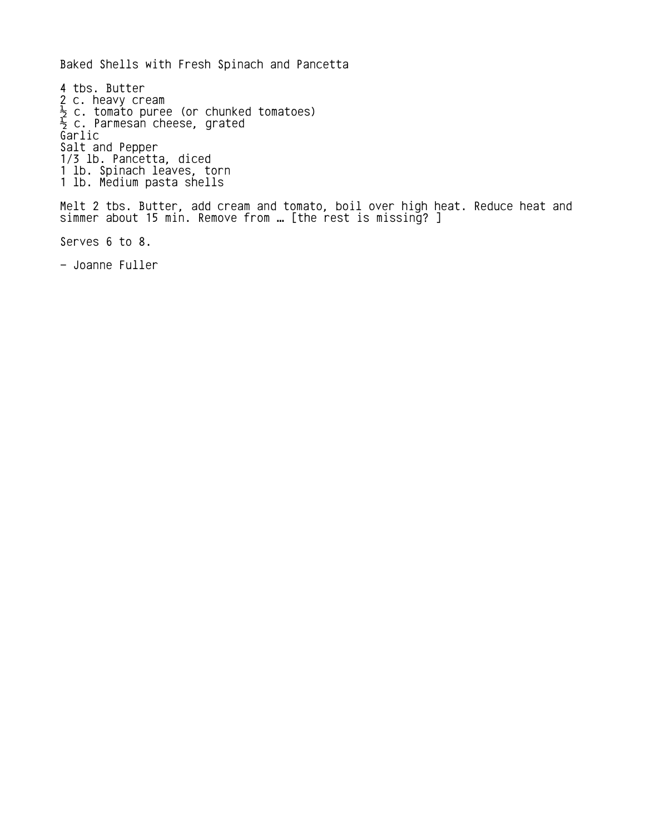Baked Shells with Fresh Spinach and Pancetta

4 tbs. Butter 2 c. heavy cream  $\frac{1}{2}$  c. tomato puree (or chunked tomatoes)  $\frac{1}{2}$  c. Parmesan cheese, grated Garlic Salt and Pepper 1/3 lb. Pancetta, diced 1 lb. Spinach leaves, torn 1 lb. Medium pasta shells Melt 2 tbs. Butter, add cream and tomato, boil over high heat. Reduce heat and simmer about 15 min. Remove from … [the rest is missing? ] Serves 6 to 8.

- Joanne Fuller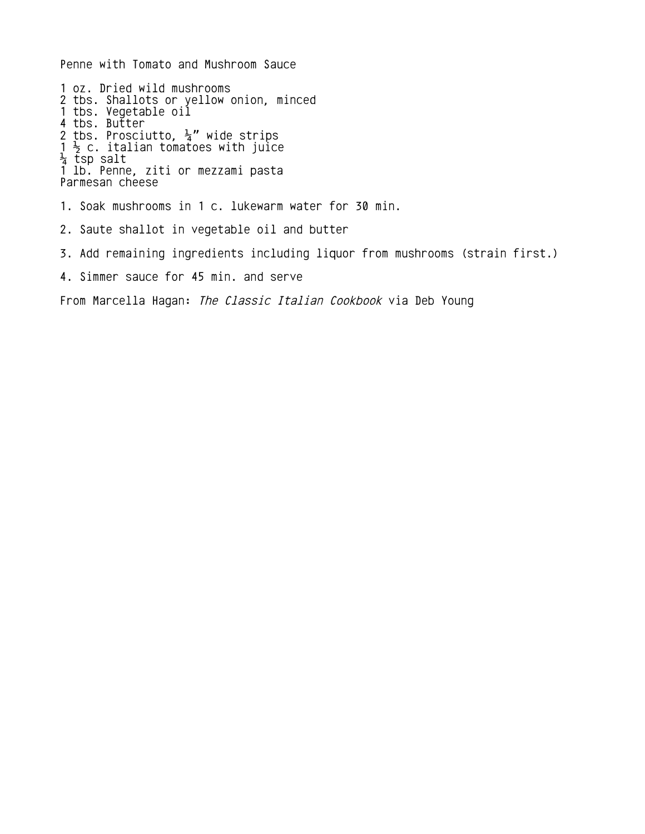Penne with Tomato and Mushroom Sauce 1 oz. Dried wild mushrooms 2 tbs. Shallots or yellow onion, minced 1 tbs. Vegetable oil 4 tbs. Butter 2 tbs. Prosciutto,  $\frac{1}{4}$ " wide strips  $1 \frac{1}{2}$  c. italian tomatoes with juice ¼ tsp salt 1 lb. Penne, ziti or mezzami pasta Parmesan cheese 1. Soak mushrooms in 1 c. lukewarm water for 30 min. 2. Saute shallot in vegetable oil and butter 3. Add remaining ingredients including liquor from mushrooms (strain first.) 4. Simmer sauce for 45 min. and serve From Marcella Hagan: The Classic Italian Cookbook via Deb Young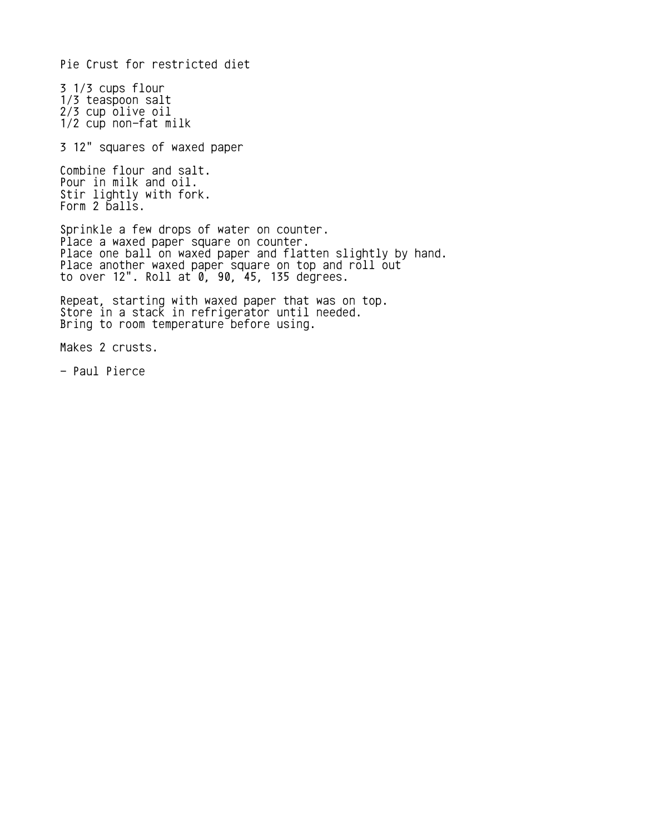Pie Crust for restricted diet

3 1/3 cups flour 1/3 teaspoon salt 2/3 cup olive oil 1/2 cup non-fat milk

3 12" squares of waxed paper

Combine flour and salt. Pour in milk and oil. Stir lightly with fork. Form 2 balls.

Sprinkle a few drops of water on counter. Place a waxed paper square on counter. Place one ball on waxed paper and flatten slightly by hand. Place another waxed paper square on top and roll out to over 12". Roll at 0, 90, 45, 135 degrees.

Repeat, starting with waxed paper that was on top. Store in a stack in refrigerator until needed. Bring to room temperature before using.

Makes 2 crusts.

- Paul Pierce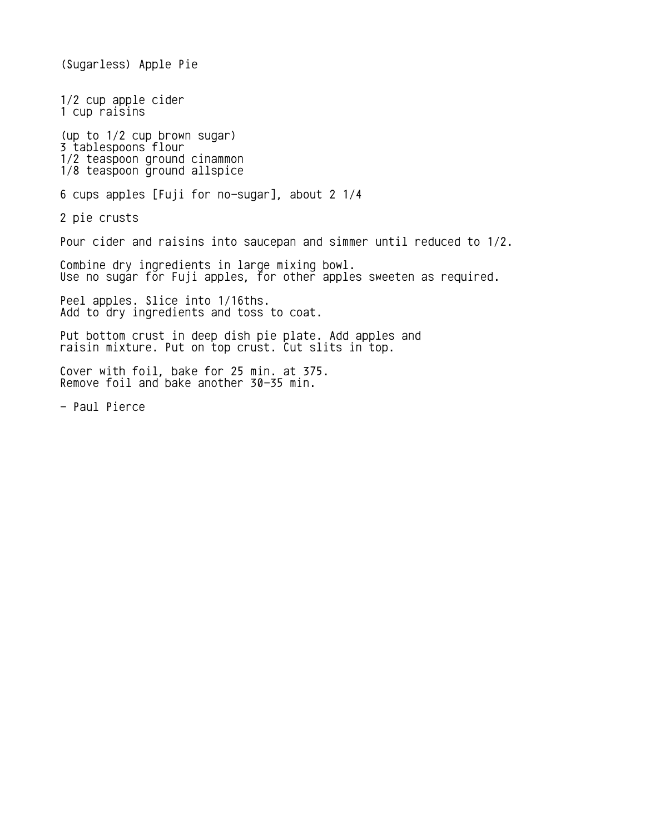(Sugarless) Apple Pie 1/2 cup apple cider 1 cup raisins (up to 1/2 cup brown sugar) 3 tablespoons flour 1/2 teaspoon ground cinammon 1/8 teaspoon ground allspice 6 cups apples [Fuji for no-sugar], about 2 1/4 2 pie crusts Pour cider and raisins into saucepan and simmer until reduced to 1/2. Combine dry ingredients in large mixing bowl. Use no sugar for Fuji apples, for other apples sweeten as required. Peel apples. Slice into 1/16ths. Add to dry ingredients and toss to coat. Put bottom crust in deep dish pie plate. Add apples and raisin mixture. Put on top crust. Cut slits in top. Cover with foil, bake for 25 min. at 375. Remove foil and bake another 30-35 min. - Paul Pierce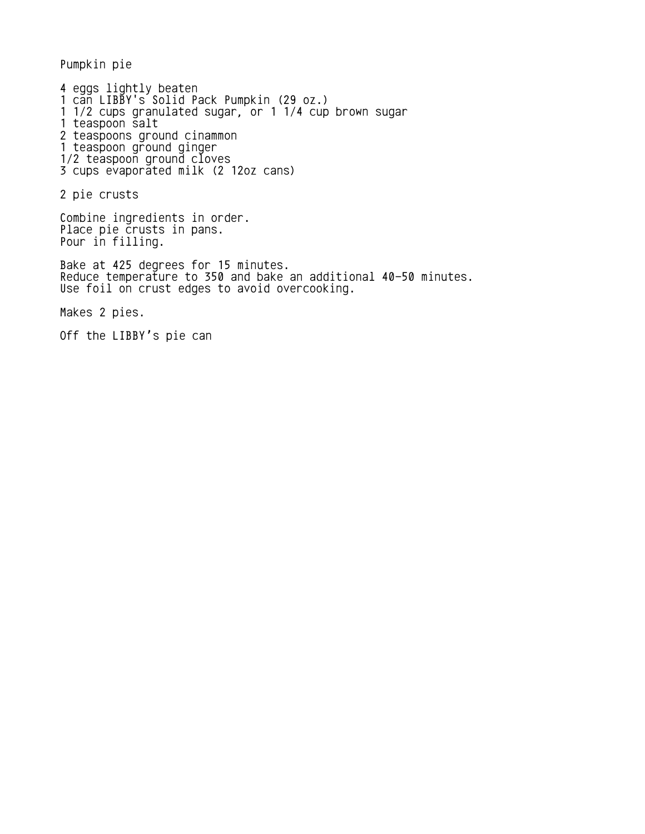Pumpkin pie

4 eggs lightly beaten 1 can LIBBY's Solid Pack Pumpkin (29 oz.) 1 1/2 cups granulated sugar, or 1 1/4 cup brown sugar 1 teaspoon salt 2 teaspoons ground cinammon 1 teaspoon ground ginger 1/2 teaspoon ground cloves 3 cups evaporated milk (2 12oz cans)

2 pie crusts

Combine ingredients in order. Place pie crusts in pans. Pour in filling.

Bake at 425 degrees for 15 minutes. Reduce temperature to 350 and bake an additional 40-50 minutes. Use foil on crust edges to avoid overcooking.

Makes 2 pies.

Off the LIBBY's pie can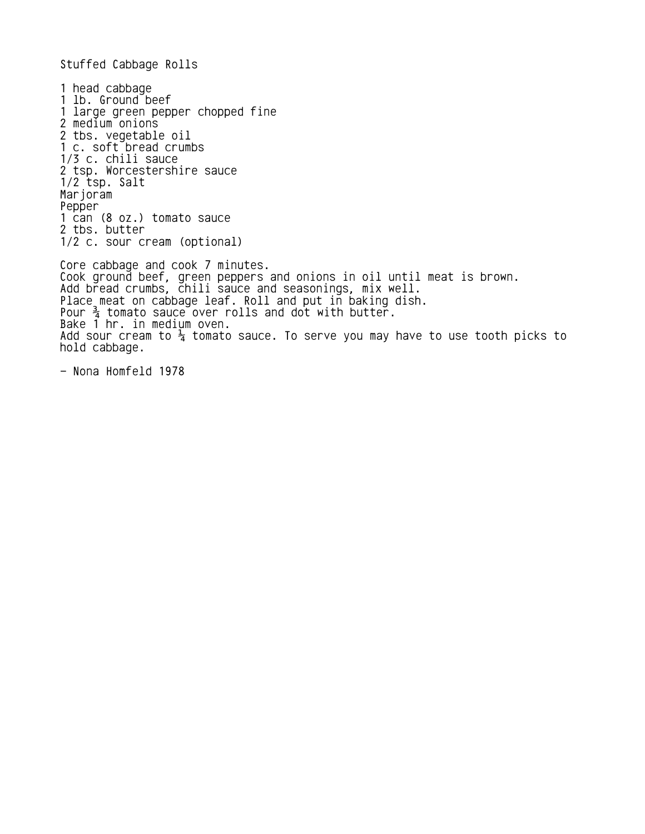Stuffed Cabbage Rolls

1 head cabbage 1 lb. Ground beef 1 large green pepper chopped fine 2 medium onions 2 tbs. vegetable oil 1 c. soft bread crumbs 1/3 c. chili sauce 2 tsp. Worcestershire sauce 1/2 tsp. Salt Marjoram Pepper 1 can (8 oz.) tomato sauce 2 tbs. butter 1/2 c. sour cream (optional) Core cabbage and cook 7 minutes. Cook ground beef, green peppers and onions in oil until meat is brown. Add bread crumbs, chili sauce and seasonings, mix well. Place meat on cabbage leaf. Roll and put in baking dish. Pour  $\frac{3}{4}$  tomato sauce over rolls and dot with butter. Bake 1 hr. in medium oven. Add sour cream to  $\frac{1}{4}$  tomato sauce. To serve you may have to use tooth picks to hold cabbage.

- Nona Homfeld 1978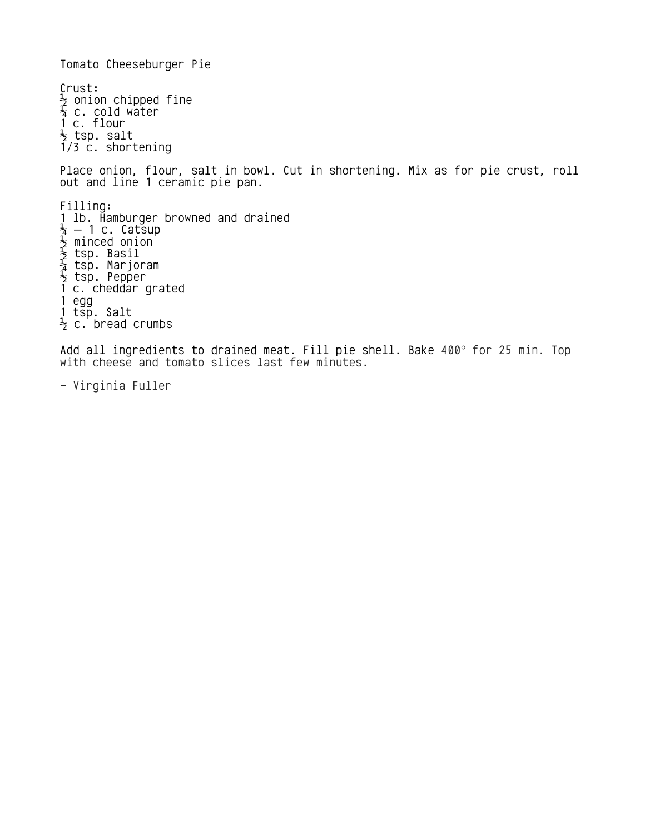Tomato Cheeseburger Pie Crust:  $\frac{1}{2}$  onion chipped fine  $\frac{1}{4}$  c. cold water 1 c. flour  $\frac{1}{2}$  tsp. salt 1/3 c. shortening Place onion, flour, salt in bowl. Cut in shortening. Mix as for pie crust, roll out and line 1 ceramic pie pan. Filling: 1 lb. Hamburger browned and drained  $\frac{1}{4}$  — 1 c. Catsup  $\frac{1}{2}$  minced onion  $\frac{1}{2}$  tsp. Basil  $\frac{1}{4}$  tsp. Marjoram  $\frac{1}{2}$  tsp. Pepper 1 c. cheddar grated 1 egg 1 tsp. Salt  $\frac{1}{2}$  c. bread crumbs

Add all ingredients to drained meat. Fill pie shell. Bake 400° for 25 min. Top with cheese and tomato slices last few minutes.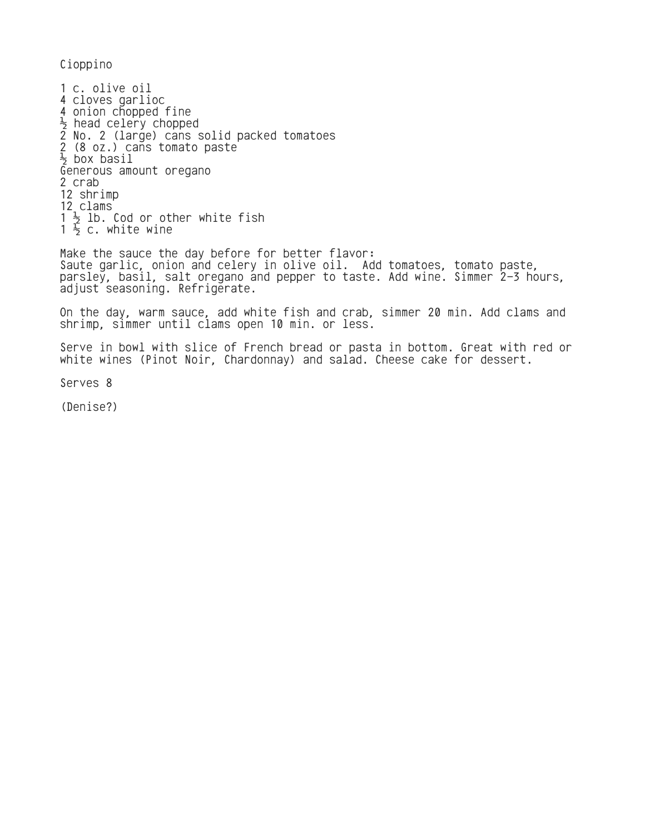Cioppino

1 c. olive oil 4 cloves garlioc 4 onion chopped fine  $\frac{1}{2}$  head celery chopped 2 No. 2 (large) cans solid packed tomatoes 2 (8 oz.) cans tomato paste  $\frac{1}{2}$  box basil Generous amount oregano 2 crab 12 shrimp 12 clams 1  $\frac{1}{2}$  lb. Cod or other white fish  $1\frac{1}{2}$  c. white wine

Make the sauce the day before for better flavor: Saute garlic, onion and celery in olive oil. Add tomatoes, tomato paste, parsley, basil, salt oregano and pepper to taste. Add wine. Simmer 2-3 hours, adjust seasoning. Refrigerate.

On the day, warm sauce, add white fish and crab, simmer 20 min. Add clams and shrimp, simmer until clams open 10 min. or less.

Serve in bowl with slice of French bread or pasta in bottom. Great with red or white wines (Pinot Noir, Chardonnay) and salad. Cheese cake for dessert.

Serves 8

(Denise?)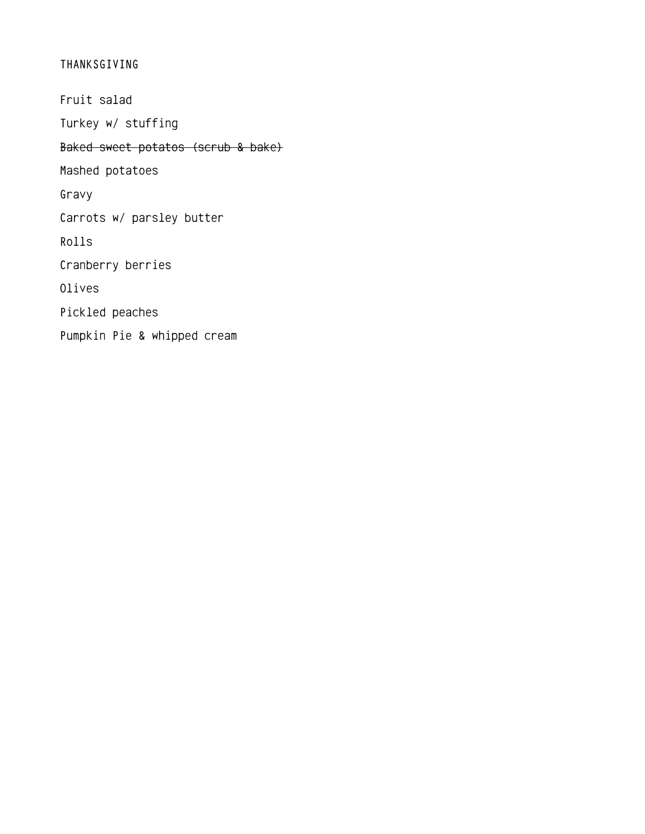## THANKSGIVING

Fruit salad Turkey w/ stuffing Baked sweet potatos (scrub & bake) Mashed potatoes Gravy Carrots w/ parsley butter Rolls Cranberry berries Olives Pickled peaches Pumpkin Pie & whipped cream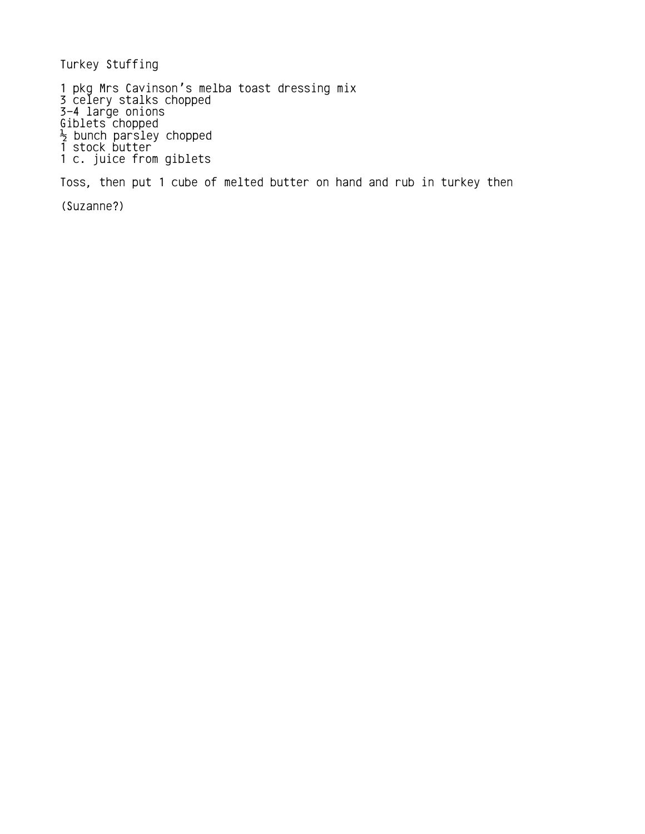Turkey Stuffing

1 pkg Mrs Cavinson's melba toast dressing mix 3 celery stalks chopped 3-4 large onions Giblets chopped  $\frac{1}{2}$  bunch parsley chopped 1 stock butter 1 c. juice from giblets

Toss, then put 1 cube of melted butter on hand and rub in turkey then

(Suzanne?)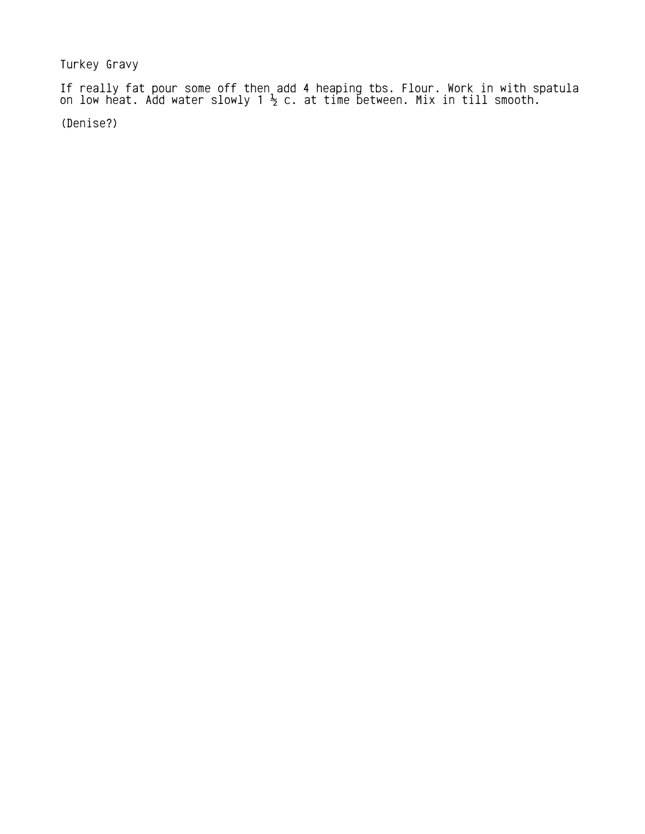Turkey Gravy

If really fat pour some off then add 4 heaping tbs. Flour. Work in with spatula on low heat. Add water slowly 1  $\frac{1}{2}$  c. at time between. Mix in till smooth.

(Denise?)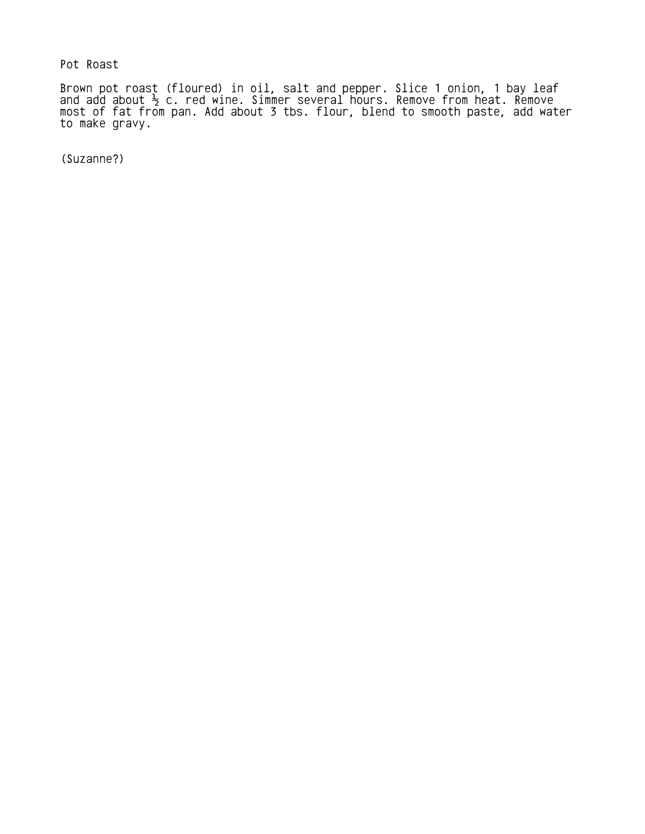Pot Roast

Brown pot roast (floured) in oil, salt and pepper. Slice 1 onion, 1 bay leaf and add about  $\frac{1}{2}$  c. red wine. Simmer several hours. Remove from heat. Remove most of fat from pan. Add about 3 tbs. flour, blend to smooth paste, add water to make gravy.

(Suzanne?)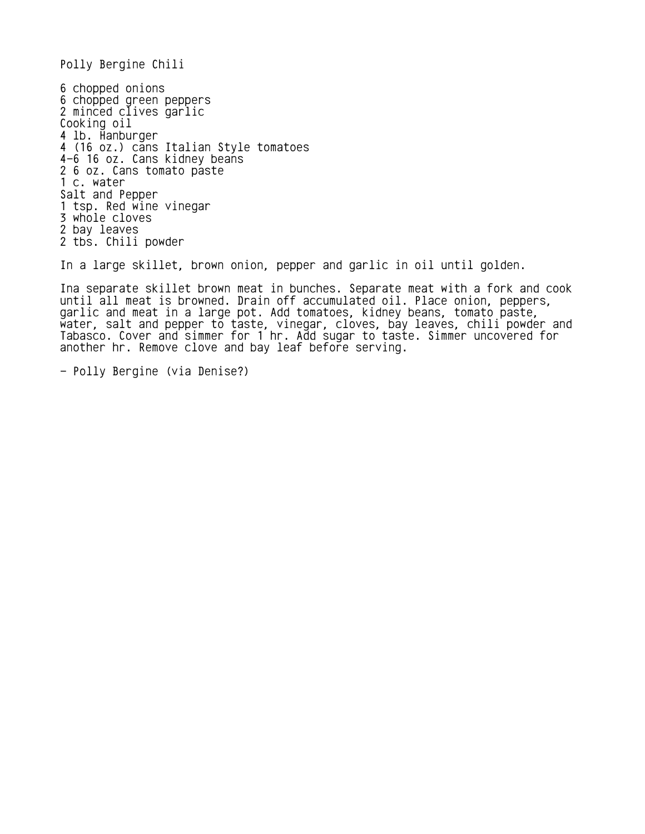Polly Bergine Chili

6 chopped onions 6 chopped green peppers 2 minced clives garlic Cooking oil 4 lb. Hanburger 4 (16 oz.) cans Italian Style tomatoes 4-6 16 oz. Cans kidney beans 2 6 oz. Cans tomato paste 1 c. water Salt and Pepper 1 tsp. Red wine vinegar 3 whole cloves 2 bay leaves 2 tbs. Chili powder

In a large skillet, brown onion, pepper and garlic in oil until golden.

Ina separate skillet brown meat in bunches. Separate meat with a fork and cook until all meat is browned. Drain off accumulated oil. Place onion, peppers, garlic and meat in a large pot. Add tomatoes, kidney beans, tomato paste, water, salt and pepper to taste, vinegar, cloves, bay leaves, chili powder and Tabasco. Cover and simmer for 1 hr. Add sugar to taste. Simmer uncovered for another hr. Remove clove and bay leaf before serving.

- Polly Bergine (via Denise?)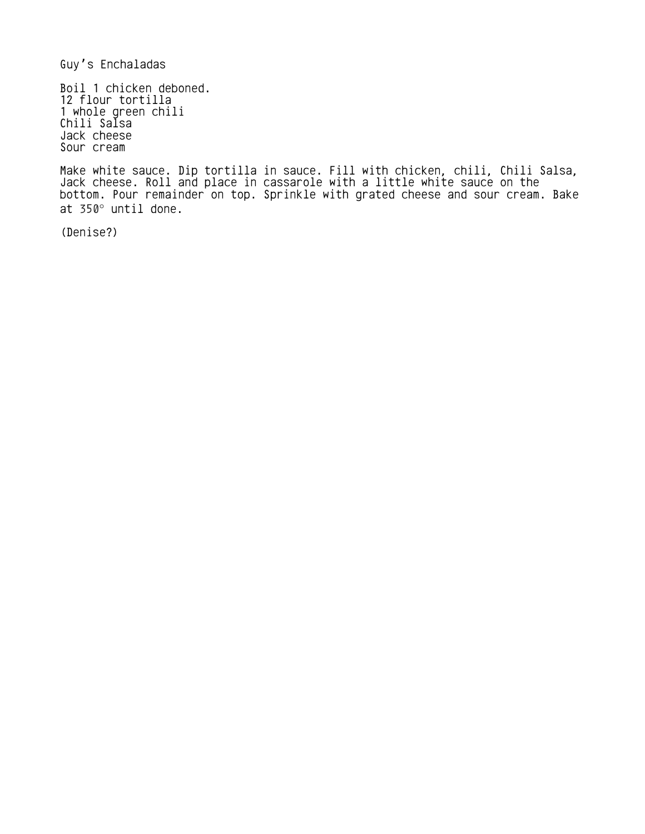Guy's Enchaladas

Boil 1 chicken deboned. 12 flour tortilla 1 whole green chili Chili Salsa Jack cheese Sour cream

Make white sauce. Dip tortilla in sauce. Fill with chicken, chili, Chili Salsa, Jack cheese. Roll and place in cassarole with a little white sauce on the bottom. Pour remainder on top. Sprinkle with grated cheese and sour cream. Bake at 350° until done.

(Denise?)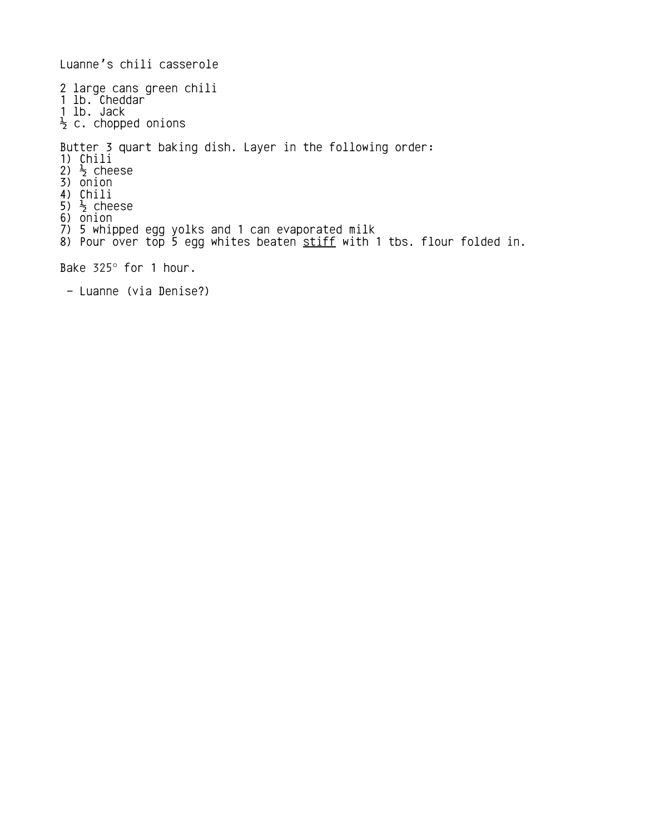Luanne's chili casserole 2 large cans green chili 1 lb. Cheddar 1 lb. Jack  $\frac{1}{2}$  c. chopped onions Butter 3 quart baking dish. Layer in the following order: 1) Chili 2)  $\frac{1}{2}$  cheese 3) onion 4) Chili 5)  $\frac{1}{2}$  cheese 6) onion 7) 5 whipped egg yolks and 1 can evaporated milk 8) Pour over top 5 egg whites beaten <u>stiff</u> with 1 tbs. flour folded in. Bake 325° for 1 hour.

- Luanne (via Denise?)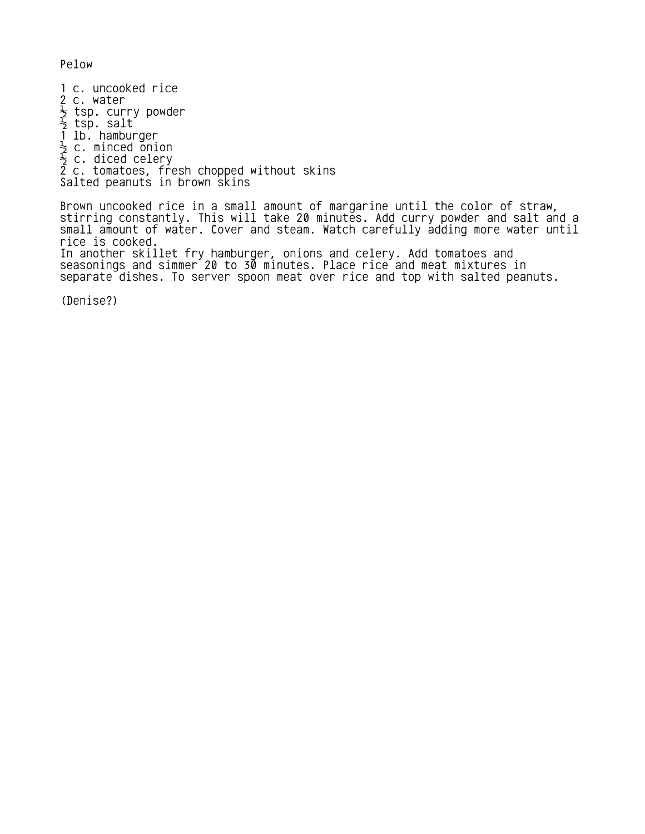Pelow

1 c. uncooked rice 2 c. water  $\frac{1}{2}$  tsp. curry powder  $\frac{1}{2}$  tsp. salt 1 lb. hamburger  $\frac{1}{2}$  c. minced onion  $\frac{1}{2}$  c. diced celery 2 c. tomatoes, fresh chopped without skins Salted peanuts in brown skins

Brown uncooked rice in a small amount of margarine until the color of straw, stirring constantly. This will take 20 minutes. Add curry powder and salt and a small amount of water. Cover and steam. Watch carefully adding more water until rice is cooked. In another skillet fry hamburger, onions and celery. Add tomatoes and seasonings and simmer 20 to 30 minutes. Place rice and meat mixtures in separate dishes. To server spoon meat over rice and top with salted peanuts.

(Denise?)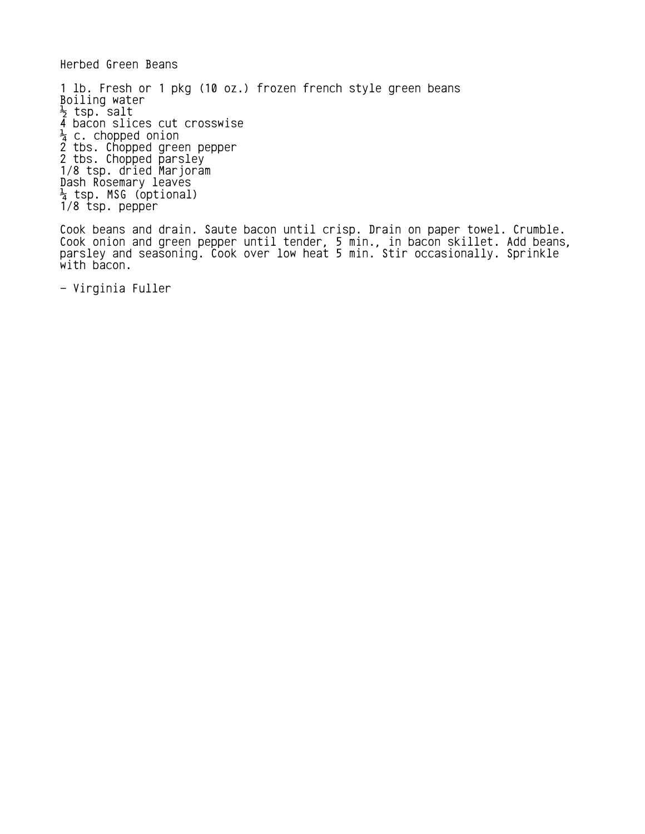Herbed Green Beans

1 lb. Fresh or 1 pkg (10 oz.) frozen french style green beans Boiling water  $\frac{1}{2}$  tsp. salt 4 bacon slices cut crosswise  $\frac{1}{4}$  c. chopped onion 2 tbs. Chopped green pepper 2 tbs. Chopped parsley 1/8 tsp. dried Marjoram Dash Rosemary leaves ¼ tsp. MSG (optional) 1/8 tsp. pepper

Cook beans and drain. Saute bacon until crisp. Drain on paper towel. Crumble. Cook onion and green pepper until tender, 5 min., in bacon skillet. Add beans, parsley and seasoning. Cook over low heat 5 min. Stir occasionally. Sprinkle with bacon.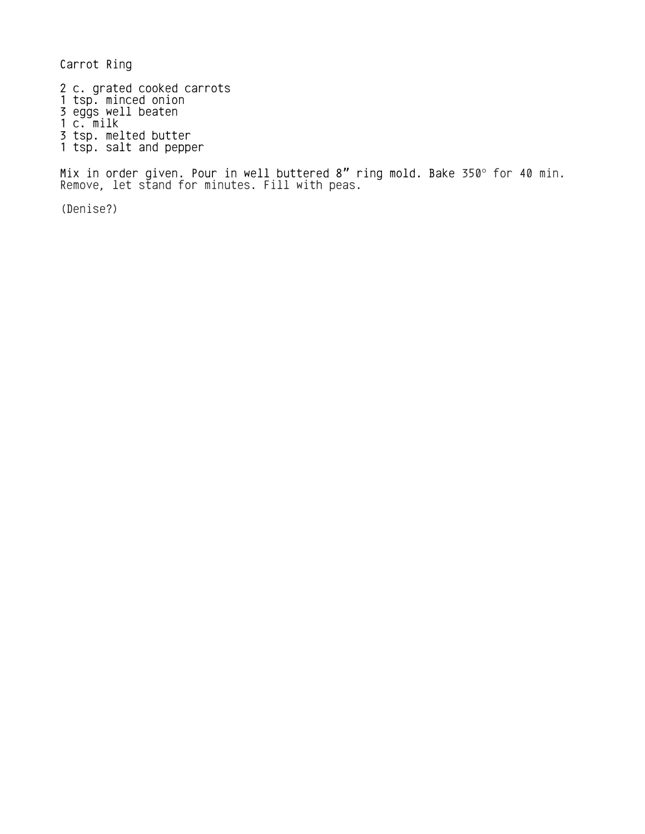Carrot Ring

2 c. grated cooked carrots 1 tsp. minced onion 3 eggs well beaten 1 c. milk 3 tsp. melted butter 1 tsp. salt and pepper

Mix in order given. Pour in well buttered 8 $^{\prime\prime}$  ring mold. Bake 350° for 40 min. Remove, let stand for minutes. Fill with peas.

(Denise?)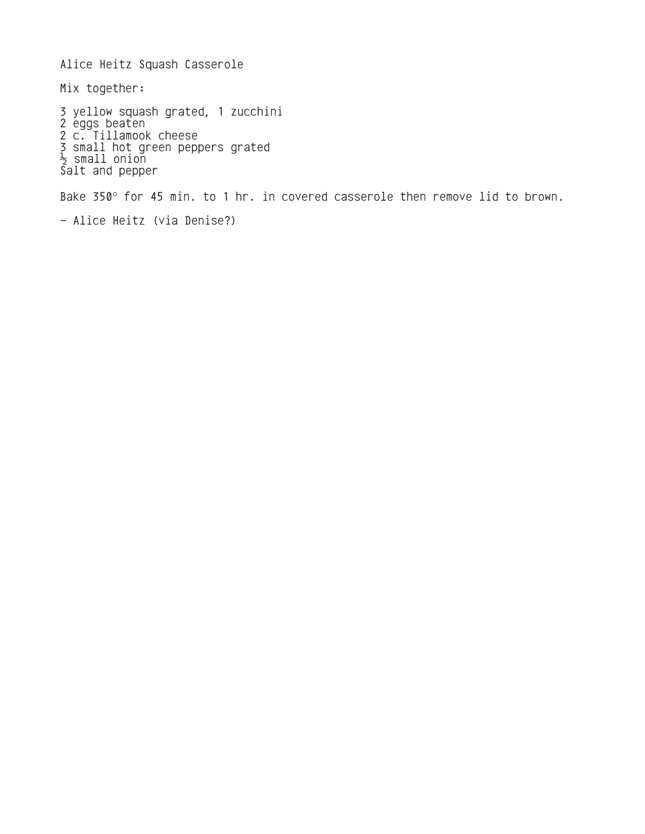Alice Heitz Squash Casserole Mix together: 3 yellow squash grated, 1 zucchini 2 eggs beaten 2 c. Tillamook cheese 3 small hot green peppers grated  $\frac{1}{2}$  small onion Salt and pepper Bake 350° for 45 min. to 1 hr. in covered casserole then remove lid to brown.

```
- Alice Heitz (via Denise?)
```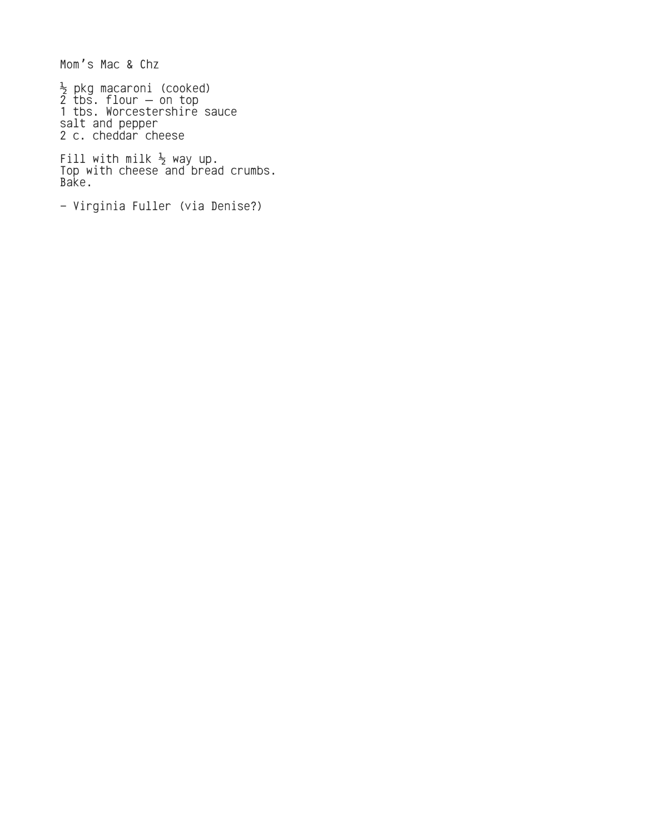Mom's Mac & Chz

½ pkg macaroni (cooked)  $2$  tbs. flour  $-$  on top 1 tbs. Worcestershire sauce salt and pepper 2 c. cheddar cheese

Fill with milk  $\frac{1}{2}$  way up. Top with cheese and bread crumbs. Bake.

```
- Virginia Fuller (via Denise?)
```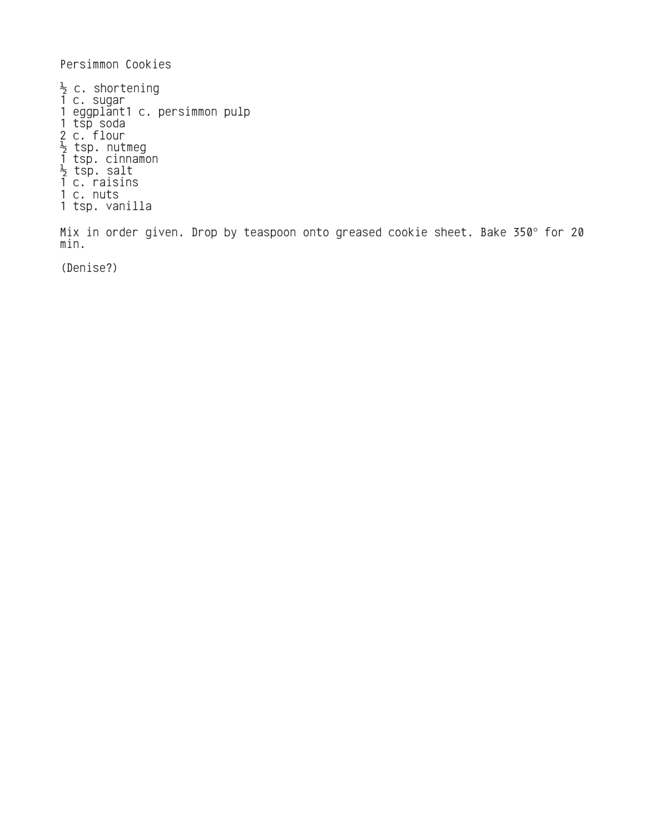Persimmon Cookies

 $\frac{1}{2}$  c. shortening 1 c. sugar 1 eggplant1 c. persimmon pulp 1 tsp soda 2 c. flour  $\frac{1}{2}$  tsp. nutmeg 1 tsp. cinnamon  $\frac{1}{2}$  tsp. salt 1 c. raisins 1 c. nuts 1 tsp. vanilla

Mix in order given. Drop by teaspoon onto greased cookie sheet. Bake 350° for 20 min.

(Denise?)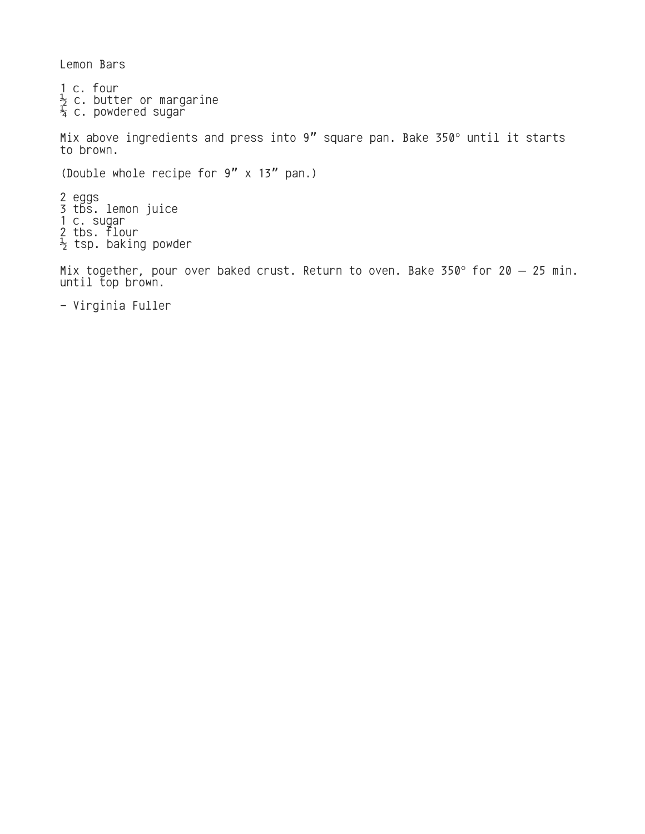Lemon Bars

1 c. four  $\frac{1}{2}$  c. butter or margarine  $\frac{1}{4}$  c. powdered sugar Mix above ingredients and press into  $9''$  square pan. Bake 350 $^{\circ}$  until it starts to brown. (Double whole recipe for  $9'' \times 13''$  pan.) 2 eggs 3 tbs. lemon juice 1 c. sugar 2 tbs. flour  $\frac{1}{2}$  tsp. baking powder

Mix together, pour over baked crust. Return to oven. Bake 350° for 20  $-$  25 min. until top brown.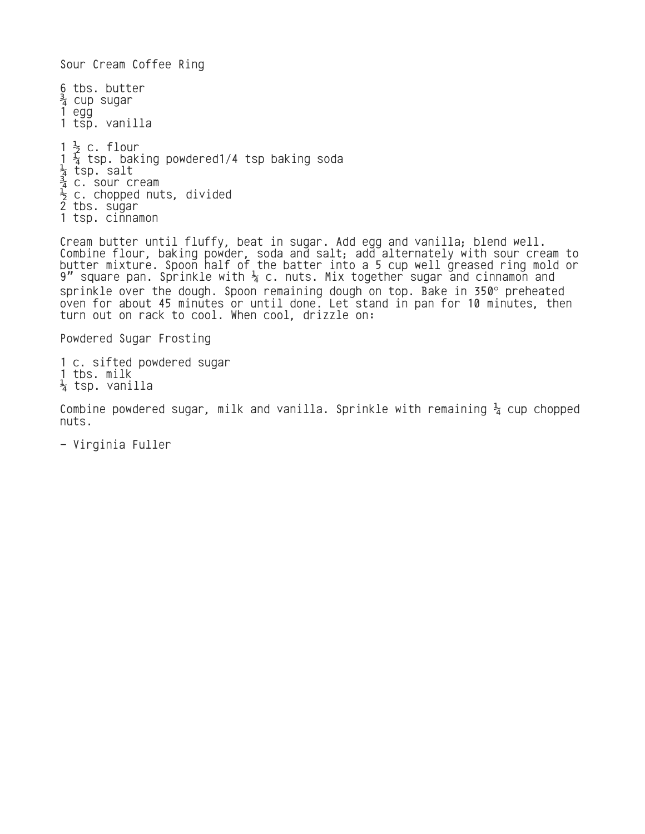Sour Cream Coffee Ring 6 tbs. butter  $\frac{3}{4}$  cup sugar 1 egg 1 tsp. vanilla 1  $\frac{1}{2}$  c. flour  $1\frac{1}{4}$  tsp. baking powdered1/4 tsp baking soda ¼ tsp. salt  $\frac{3}{4}$  c. sour cream  $\frac{1}{2}$  c. chopped nuts, divided 2 tbs. sugar 1 tsp. cinnamon

Cream butter until fluffy, beat in sugar. Add egg and vanilla; blend well. Combine flour, baking powder, soda and salt; add alternately with sour cream to butter mixture. Spoon half of the batter into a 5 cup well greased ring mold or 9" square pan. Sprinkle with  $\frac{1}{4}$  c. nuts. Mix together sugar and cinnamon and sprinkle over the dough. Spoon remaining dough on top. Bake in 350° preheated oven for about 45 minutes or until done. Let stand in pan for 10 minutes, then turn out on rack to cool. When cool, drizzle on:

Powdered Sugar Frosting

1 c. sifted powdered sugar 1 tbs. milk  $\frac{1}{4}$  tsp. vanilla

Combine powdered sugar, milk and vanilla. Sprinkle with remaining  $\frac{1}{4}$  cup chopped nuts.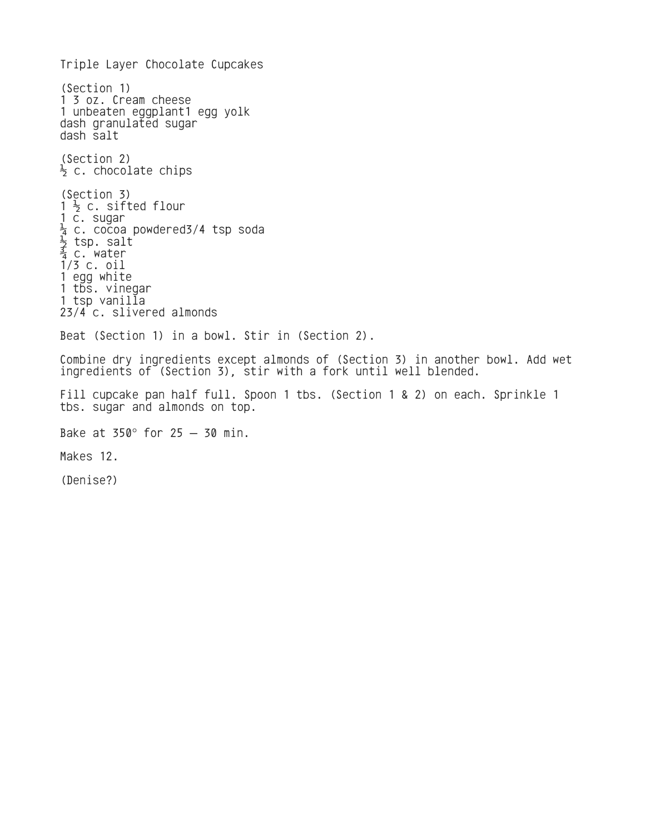Triple Layer Chocolate Cupcakes (Section 1) 1 3 oz. Cream cheese 1 unbeaten eggplant1 egg yolk dash granulated sugar dash salt (Section 2)  $\frac{1}{2}$  c. chocolate chips (Section 3)  $1\frac{1}{2}$  c. sifted flour 1 c. sugar  $\frac{1}{4}$  c. cocoa powdered3/4 tsp soda  $\frac{1}{2}$  tsp. salt  $\frac{3}{4}$  c. water 1/3 c. oil 1 egg white 1 tbs. vinegar 1 tsp vanilla 23/4 c. slivered almonds Beat (Section 1) in a bowl. Stir in (Section 2). Combine dry ingredients except almonds of (Section 3) in another bowl. Add wet ingredients of (Section 3), stir with a fork until well blended. Fill cupcake pan half full. Spoon 1 tbs. (Section 1 & 2) on each. Sprinkle 1 tbs. sugar and almonds on top. Bake at  $350^\circ$  for  $25 - 30$  min. Makes 12. (Denise?)